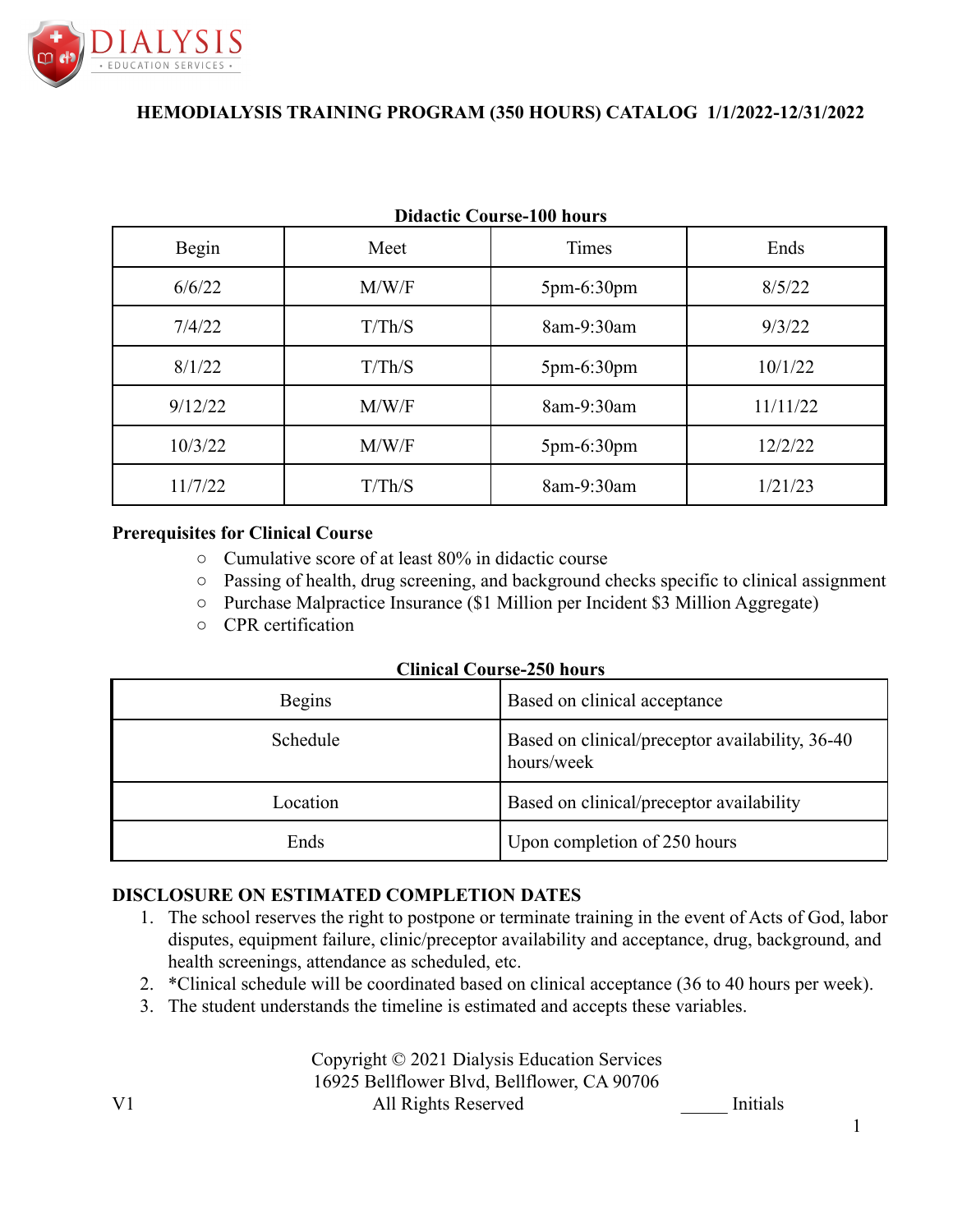

| Digathe Course-Too Hours |        |              |          |  |
|--------------------------|--------|--------------|----------|--|
| Begin                    | Meet   | Times        | Ends     |  |
| 6/6/22                   | M/W/F  | $5pm-6:30pm$ | 8/5/22   |  |
| 7/4/22                   | T/Th/S | 8am-9:30am   | 9/3/22   |  |
| 8/1/22                   | T/Th/S | 5pm-6:30pm   | 10/1/22  |  |
| 9/12/22                  | M/W/F  | 8am-9:30am   | 11/11/22 |  |
| 10/3/22                  | M/W/F  | $5pm-6:30pm$ | 12/2/22  |  |
| 11/7/22                  | T/Th/S | 8am-9:30am   | 1/21/23  |  |

# **Didactic Course-100 hours**

#### **Prerequisites for Clinical Course**

- Cumulative score of at least 80% in didactic course
- Passing of health, drug screening, and background checks specific to clinical assignment
- Purchase Malpractice Insurance (\$1 Million per Incident \$3 Million Aggregate)
- CPR certification

| <b>Begins</b> | Based on clinical acceptance                                  |
|---------------|---------------------------------------------------------------|
| Schedule      | Based on clinical/preceptor availability, 36-40<br>hours/week |
| Location      | Based on clinical/preceptor availability                      |
| Ends          | Upon completion of 250 hours                                  |

#### **DISCLOSURE ON ESTIMATED COMPLETION DATES**

- 1. The school reserves the right to postpone or terminate training in the event of Acts of God, labor disputes, equipment failure, clinic/preceptor availability and acceptance, drug, background, and health screenings, attendance as scheduled, etc.
- 2. \*Clinical schedule will be coordinated based on clinical acceptance (36 to 40 hours per week).
- 3. The student understands the timeline is estimated and accepts these variables.

Copyright © 2021 Dialysis Education Services 16925 Bellflower Blvd, Bellflower, CA 90706 V1 All Rights Reserved Initials

1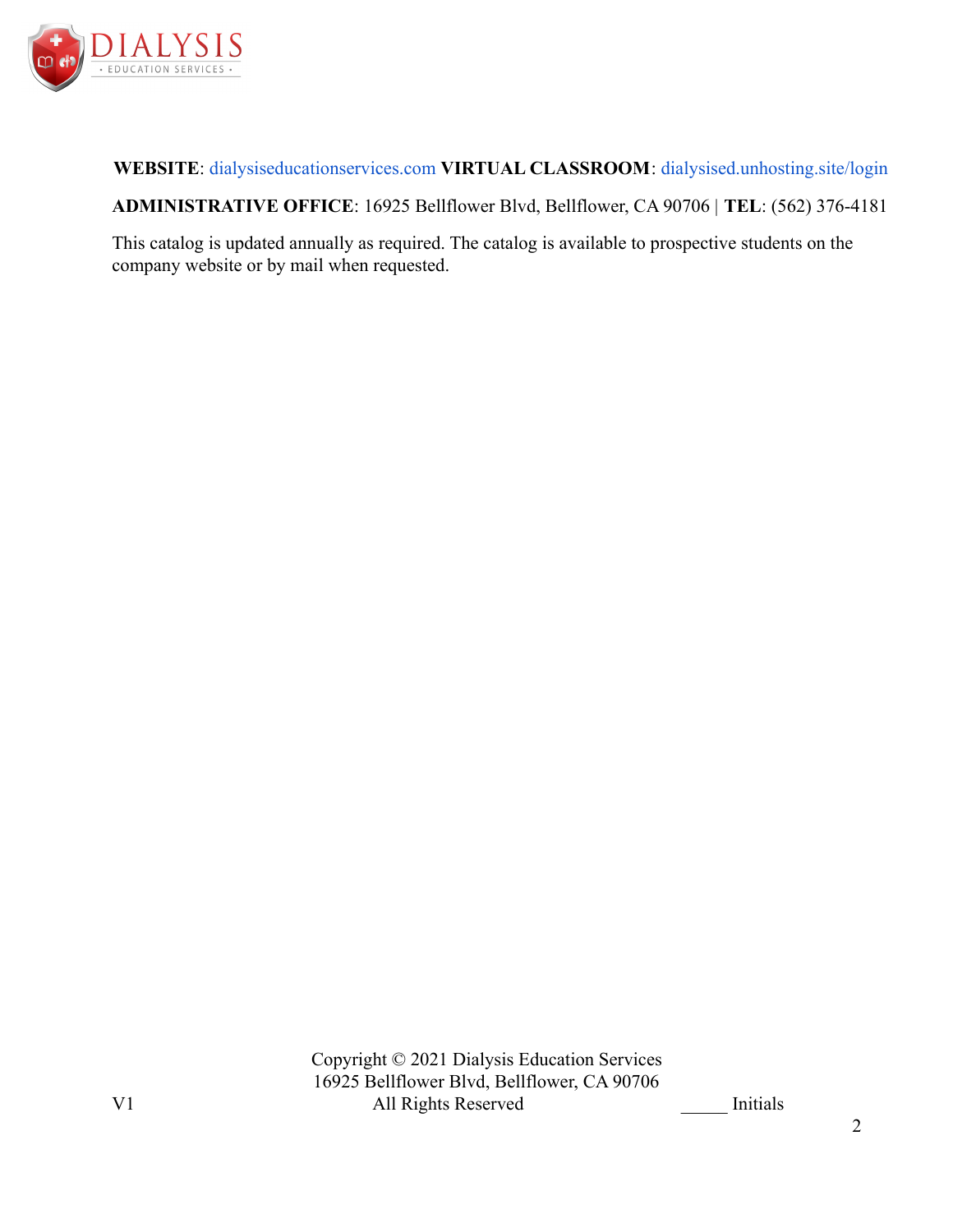

**WEBSITE**: [dialysiseducationservices.com](http://dialysiseducationservices.com) **VIRTUAL CLASSROOM**: [dialysised.unhosting.site/login](http://dialysised.unhosting.site/login)

**ADMINISTRATIVE OFFICE**: 16925 Bellflower Blvd, Bellflower, CA 90706 | **TEL**: (562) 376-4181

This catalog is updated annually as required. The catalog is available to prospective students on the company website or by mail when requested.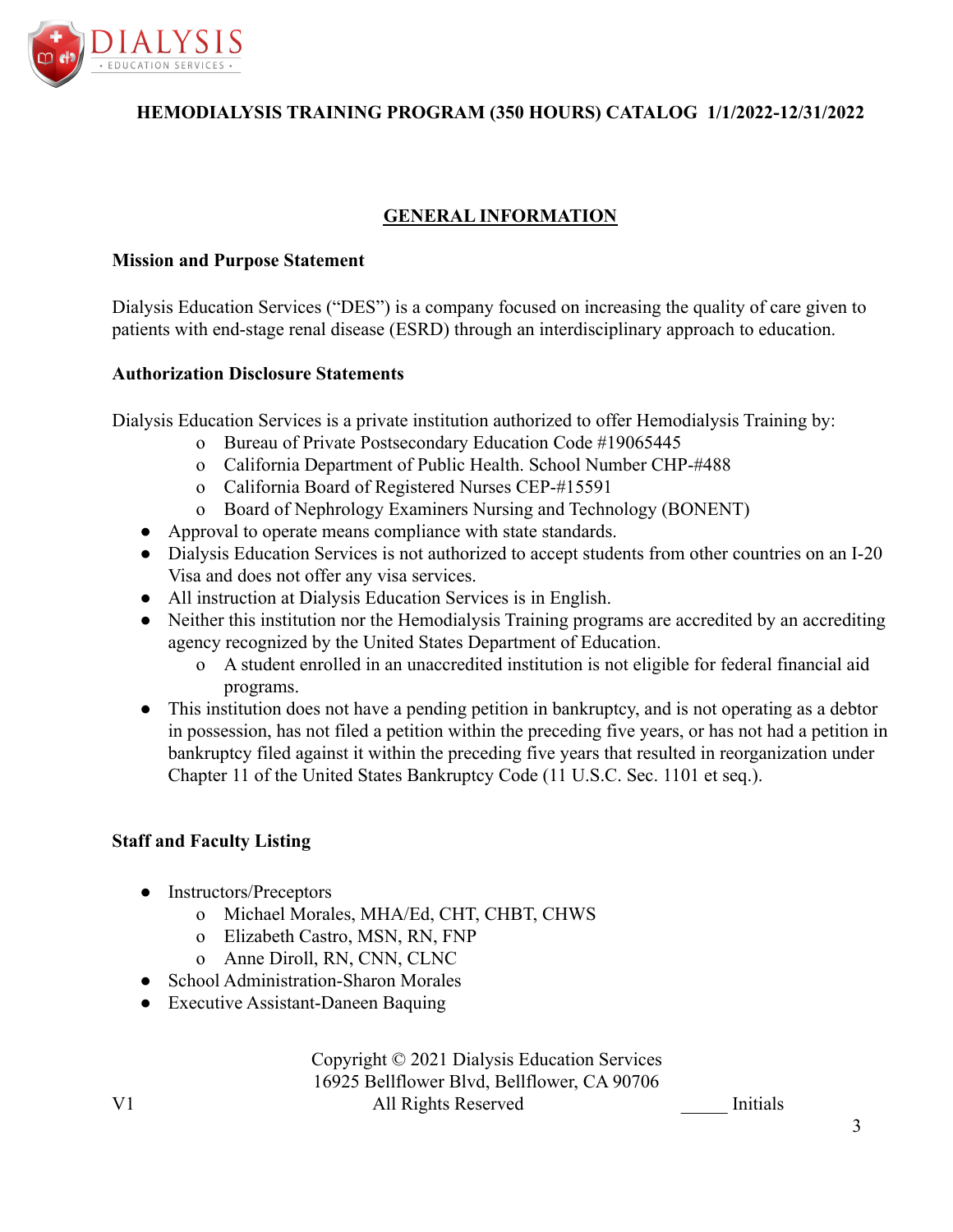

# **GENERAL INFORMATION**

### **Mission and Purpose Statement**

Dialysis Education Services ("DES") is a company focused on increasing the quality of care given to patients with end-stage renal disease (ESRD) through an interdisciplinary approach to education.

### **Authorization Disclosure Statements**

Dialysis Education Services is a private institution authorized to offer Hemodialysis Training by:

- o Bureau of Private Postsecondary Education Code #19065445
- o California Department of Public Health. School Number CHP-#488
- o California Board of Registered Nurses CEP-#15591
- o Board of Nephrology Examiners Nursing and Technology (BONENT)
- Approval to operate means compliance with state standards.
- Dialysis Education Services is not authorized to accept students from other countries on an I-20 Visa and does not offer any visa services.
- All instruction at Dialysis Education Services is in English.
- Neither this institution nor the Hemodialysis Training programs are accredited by an accrediting agency recognized by the United States Department of Education.
	- o A student enrolled in an unaccredited institution is not eligible for federal financial aid programs.
- This institution does not have a pending petition in bankruptcy, and is not operating as a debtor in possession, has not filed a petition within the preceding five years, or has not had a petition in bankruptcy filed against it within the preceding five years that resulted in reorganization under Chapter 11 of the United States Bankruptcy Code (11 U.S.C. Sec. 1101 et seq.).

# **Staff and Faculty Listing**

- Instructors/Preceptors
	- o Michael Morales, MHA/Ed, CHT, CHBT, CHWS
	- o Elizabeth Castro, MSN, RN, FNP
	- o Anne Diroll, RN, CNN, CLNC
- School Administration-Sharon Morales
- Executive Assistant-Daneen Baquing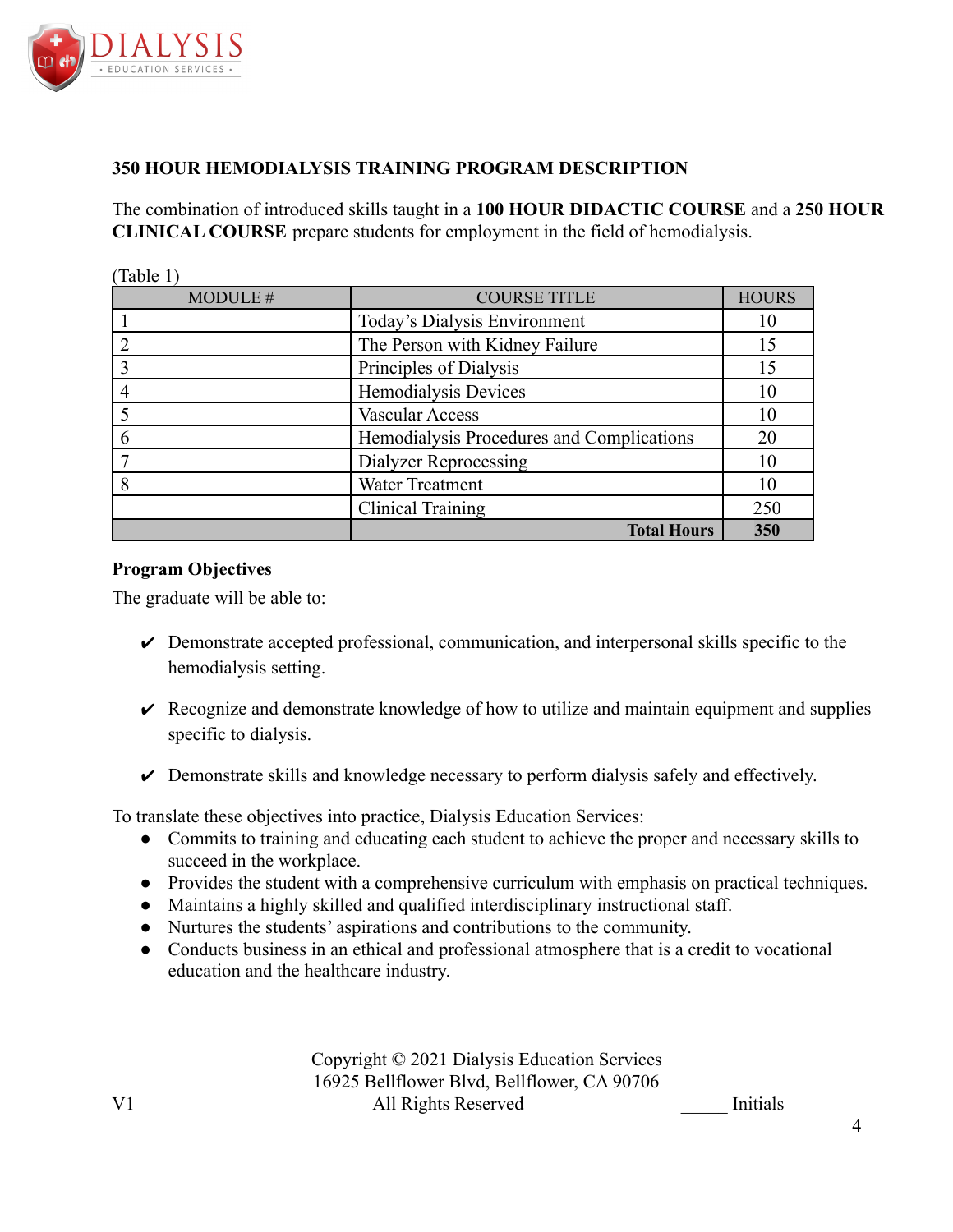

 $(T_1 + 1 + 1)$ 

# **350 HOUR HEMODIALYSIS TRAINING PROGRAM DESCRIPTION**

The combination of introduced skills taught in a **100 HOUR DIDACTIC COURSE** and a **250 HOUR CLINICAL COURSE** prepare students for employment in the field of hemodialysis.

| Table 1  |                                           |              |
|----------|-------------------------------------------|--------------|
| MODULE # | <b>COURSE TITLE</b>                       | <b>HOURS</b> |
|          | Today's Dialysis Environment              | 10           |
|          | The Person with Kidney Failure            | 15           |
|          | Principles of Dialysis                    | 15           |
|          | Hemodialysis Devices                      | 10           |
|          | Vascular Access                           | 10           |
|          | Hemodialysis Procedures and Complications | 20           |
|          | Dialyzer Reprocessing                     | 10           |
|          | Water Treatment                           | 10           |
|          | <b>Clinical Training</b>                  | 250          |
|          | <b>Total Hours</b>                        | 350          |

### **Program Objectives**

The graduate will be able to:

- $\triangleright$  Demonstrate accepted professional, communication, and interpersonal skills specific to the hemodialysis setting.
- $\vee$  Recognize and demonstrate knowledge of how to utilize and maintain equipment and supplies specific to dialysis.
- $\triangleright$  Demonstrate skills and knowledge necessary to perform dialysis safely and effectively.

To translate these objectives into practice, Dialysis Education Services:

- Commits to training and educating each student to achieve the proper and necessary skills to succeed in the workplace.
- Provides the student with a comprehensive curriculum with emphasis on practical techniques.
- Maintains a highly skilled and qualified interdisciplinary instructional staff.
- Nurtures the students' aspirations and contributions to the community.
- Conducts business in an ethical and professional atmosphere that is a credit to vocational education and the healthcare industry.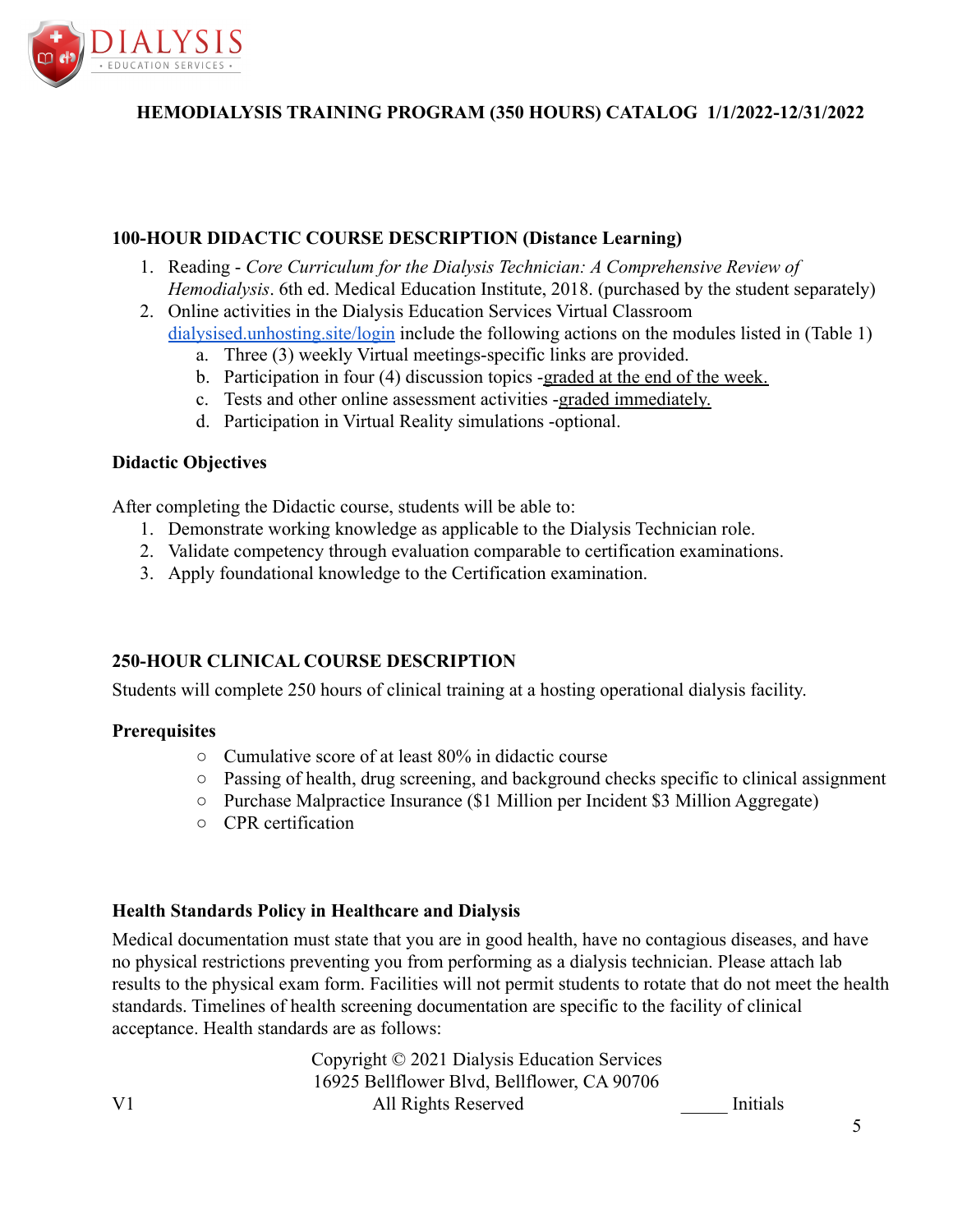

### **100-HOUR DIDACTIC COURSE DESCRIPTION (Distance Learning)**

- 1. Reading *Core Curriculum for the Dialysis Technician: A Comprehensive Review of Hemodialysis*. 6th ed. Medical Education Institute, 2018. (purchased by the student separately)
- 2. Online activities in the Dialysis Education Services Virtual Classroom [dialysised.unhosting.site/login](http://dialysised.unhosting.site/login) include the following actions on the modules listed in (Table 1)
	- a. Three (3) weekly Virtual meetings-specific links are provided.
	- b. Participation in four (4) discussion topics -graded at the end of the week.
	- c. Tests and other online assessment activities -graded immediately.
	- d. Participation in Virtual Reality simulations -optional.

#### **Didactic Objectives**

After completing the Didactic course, students will be able to:

- 1. Demonstrate working knowledge as applicable to the Dialysis Technician role.
- 2. Validate competency through evaluation comparable to certification examinations.
- 3. Apply foundational knowledge to the Certification examination.

# **250-HOUR CLINICAL COURSE DESCRIPTION**

Students will complete 250 hours of clinical training at a hosting operational dialysis facility.

#### **Prerequisites**

- Cumulative score of at least 80% in didactic course
- Passing of health, drug screening, and background checks specific to clinical assignment
- Purchase Malpractice Insurance (\$1 Million per Incident \$3 Million Aggregate)
- CPR certification

#### **Health Standards Policy in Healthcare and Dialysis**

Medical documentation must state that you are in good health, have no contagious diseases, and have no physical restrictions preventing you from performing as a dialysis technician. Please attach lab results to the physical exam form. Facilities will not permit students to rotate that do not meet the health standards. Timelines of health screening documentation are specific to the facility of clinical acceptance. Health standards are as follows: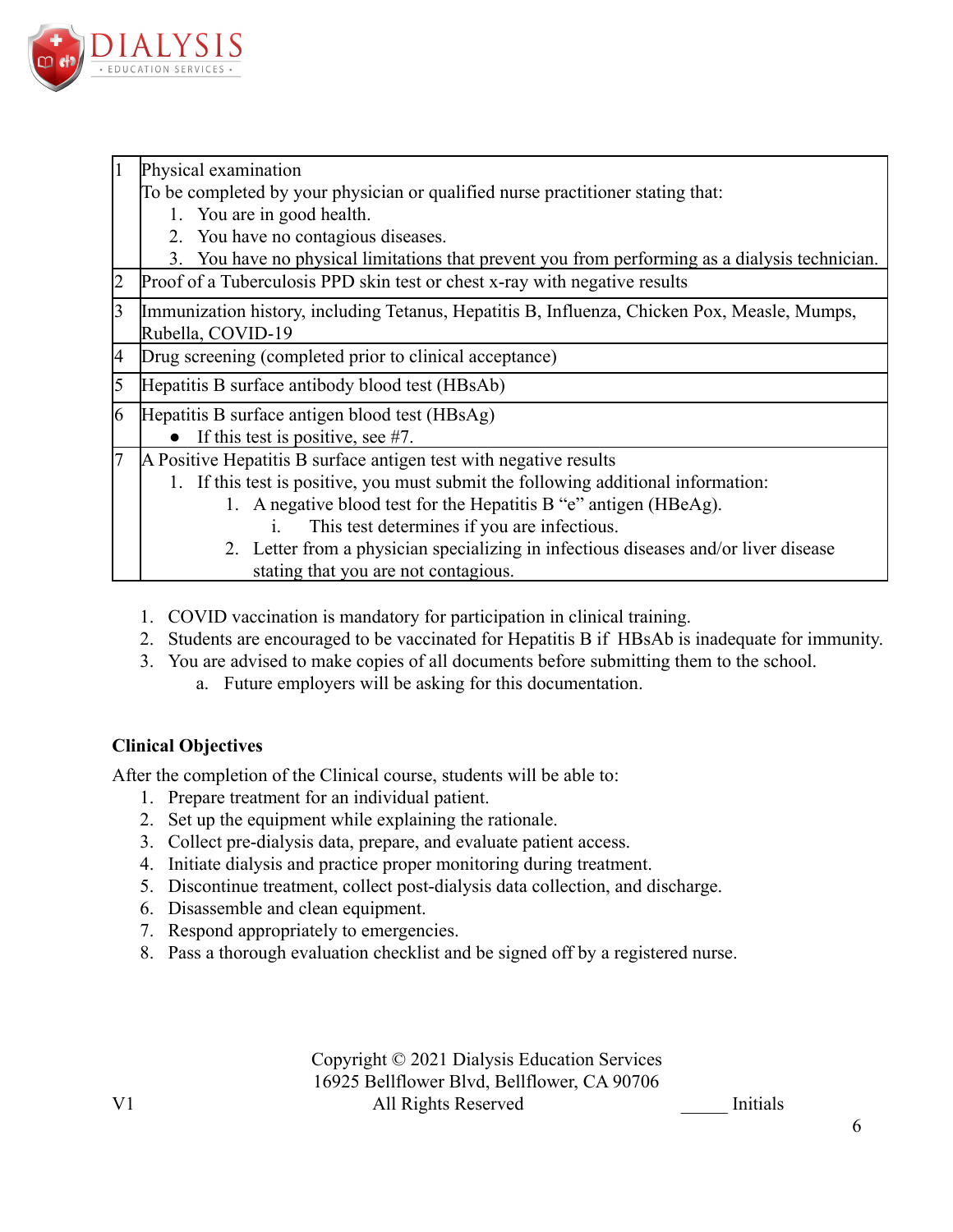

Physical examination

To be completed by your physician or qualified nurse practitioner stating that:

- 1. You are in good health.
- 2. You have no contagious diseases.
- 3. You have no physical limitations that prevent you from performing as a dialysis technician.
- Proof of a Tuberculosis PPD skin test or chest x-ray with negative results
- Immunization history, including Tetanus, Hepatitis B, Influenza, Chicken Pox, Measle, Mumps, Rubella, COVID-19
- Drug screening (completed prior to clinical acceptance)
- 5 Hepatitis B surface antibody blood test (HBsAb)
- 6 Hepatitis B surface antigen blood test (HBsAg)
	- If this test is positive, see  $#7$ .
- A Positive Hepatitis B surface antigen test with negative results
	- 1. If this test is positive, you must submit the following additional information:
		- 1. A negative blood test for the Hepatitis B "e" antigen (HBeAg).
			- i. This test determines if you are infectious.
		- 2. Letter from a physician specializing in infectious diseases and/or liver disease stating that you are not contagious.
	- 1. COVID vaccination is mandatory for participation in clinical training.
	- 2. Students are encouraged to be vaccinated for Hepatitis B if HBsAb is inadequate for immunity.
	- 3. You are advised to make copies of all documents before submitting them to the school.
		- a. Future employers will be asking for this documentation.

# **Clinical Objectives**

After the completion of the Clinical course, students will be able to:

- 1. Prepare treatment for an individual patient.
- 2. Set up the equipment while explaining the rationale.
- 3. Collect pre-dialysis data, prepare, and evaluate patient access.
- 4. Initiate dialysis and practice proper monitoring during treatment.
- 5. Discontinue treatment, collect post-dialysis data collection, and discharge.
- 6. Disassemble and clean equipment.
- 7. Respond appropriately to emergencies.
- 8. Pass a thorough evaluation checklist and be signed off by a registered nurse.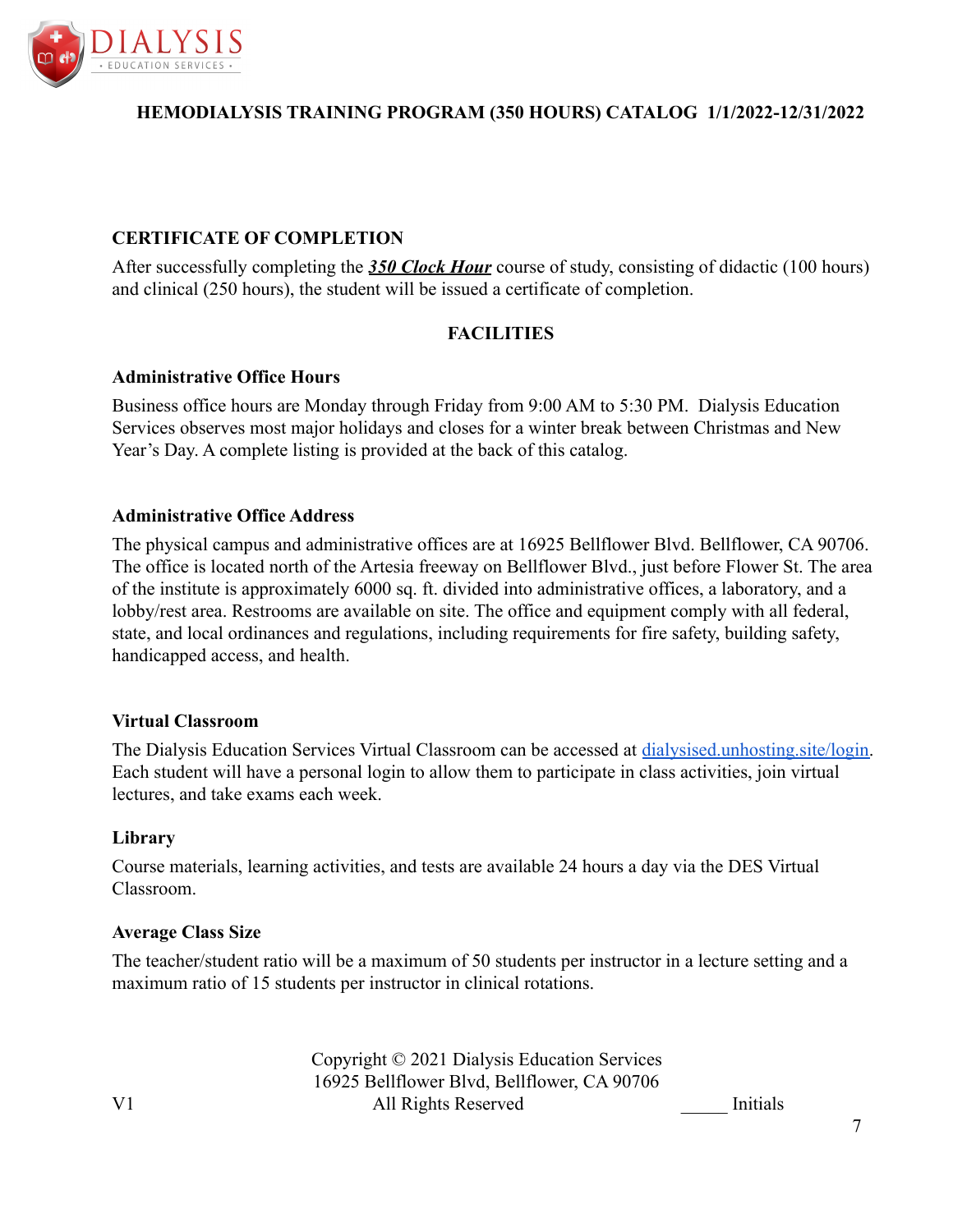

# **CERTIFICATE OF COMPLETION**

After successfully completing the *350 Clock Hour* course of study, consisting of didactic (100 hours) and clinical (250 hours), the student will be issued a certificate of completion.

# **FACILITIES**

### **Administrative Office Hours**

Business office hours are Monday through Friday from 9:00 AM to 5:30 PM. Dialysis Education Services observes most major holidays and closes for a winter break between Christmas and New Year's Day. A complete listing is provided at the back of this catalog.

### **Administrative Office Address**

The physical campus and administrative offices are at 16925 Bellflower Blvd. Bellflower, CA 90706. The office is located north of the Artesia freeway on Bellflower Blvd., just before Flower St. The area of the institute is approximately 6000 sq. ft. divided into administrative offices, a laboratory, and a lobby/rest area. Restrooms are available on site. The office and equipment comply with all federal, state, and local ordinances and regulations, including requirements for fire safety, building safety, handicapped access, and health.

#### **Virtual Classroom**

The Dialysis Education Services Virtual Classroom can be accessed at [dialysised.unhosting.site/login.](https://dialysised.unhosting.site/login/index.php) Each student will have a personal login to allow them to participate in class activities, join virtual lectures, and take exams each week.

#### **Library**

Course materials, learning activities, and tests are available 24 hours a day via the DES Virtual Classroom.

#### **Average Class Size**

The teacher/student ratio will be a maximum of 50 students per instructor in a lecture setting and a maximum ratio of 15 students per instructor in clinical rotations.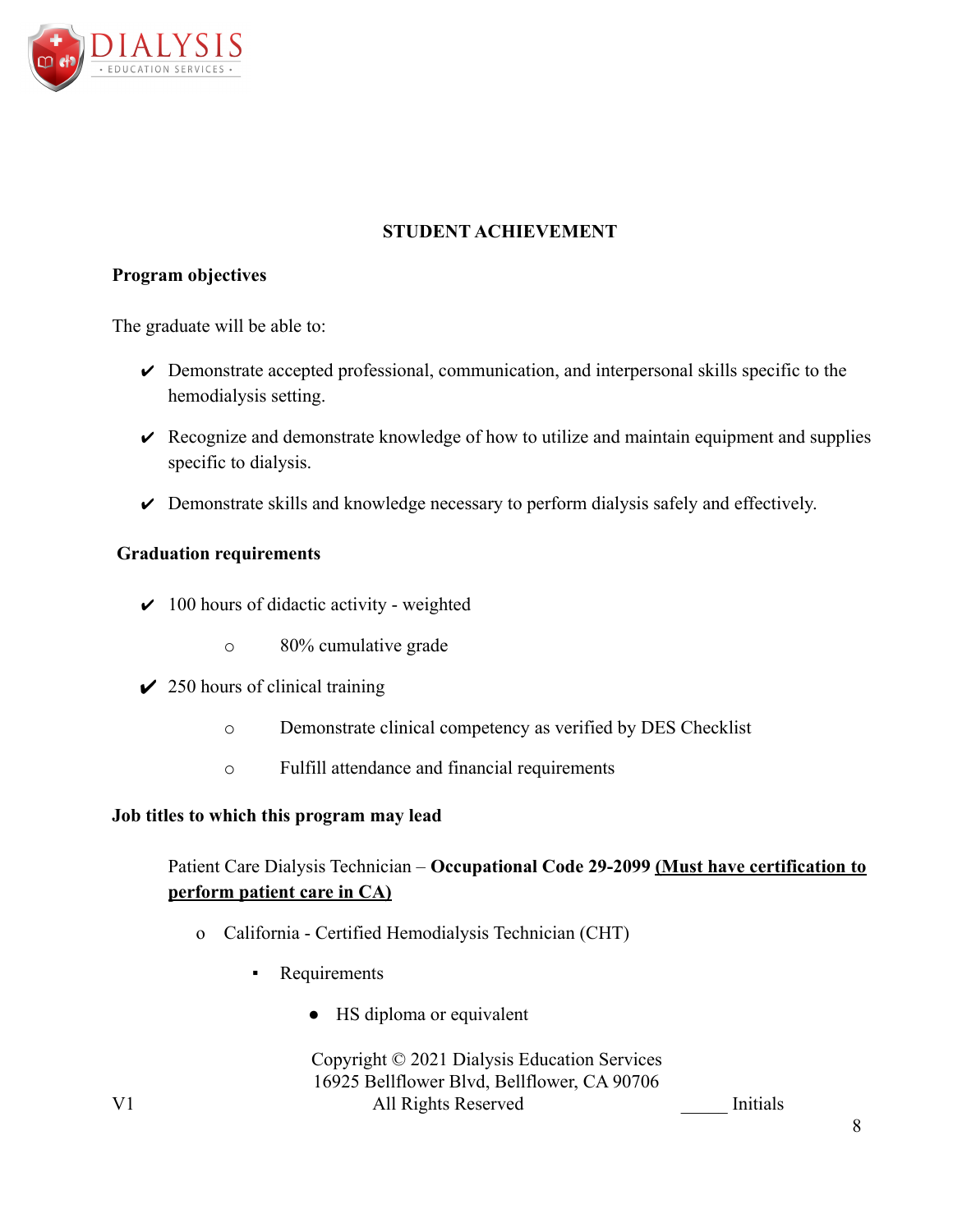

# **STUDENT ACHIEVEMENT**

### **Program objectives**

The graduate will be able to:

- $\triangleright$  Demonstrate accepted professional, communication, and interpersonal skills specific to the hemodialysis setting.
- $\vee$  Recognize and demonstrate knowledge of how to utilize and maintain equipment and supplies specific to dialysis.
- $\triangleright$  Demonstrate skills and knowledge necessary to perform dialysis safely and effectively.

### **Graduation requirements**

- $\vee$  100 hours of didactic activity weighted
	- o 80% cumulative grade
- $\angle$  250 hours of clinical training
	- o Demonstrate clinical competency as verified by DES Checklist
	- o Fulfill attendance and financial requirements

### **Job titles to which this program may lead**

# Patient Care Dialysis Technician – **Occupational Code 29-2099 (Must have certification to perform patient care in CA)**

- o California Certified Hemodialysis Technician (CHT)
	- Requirements
		- HS diploma or equivalent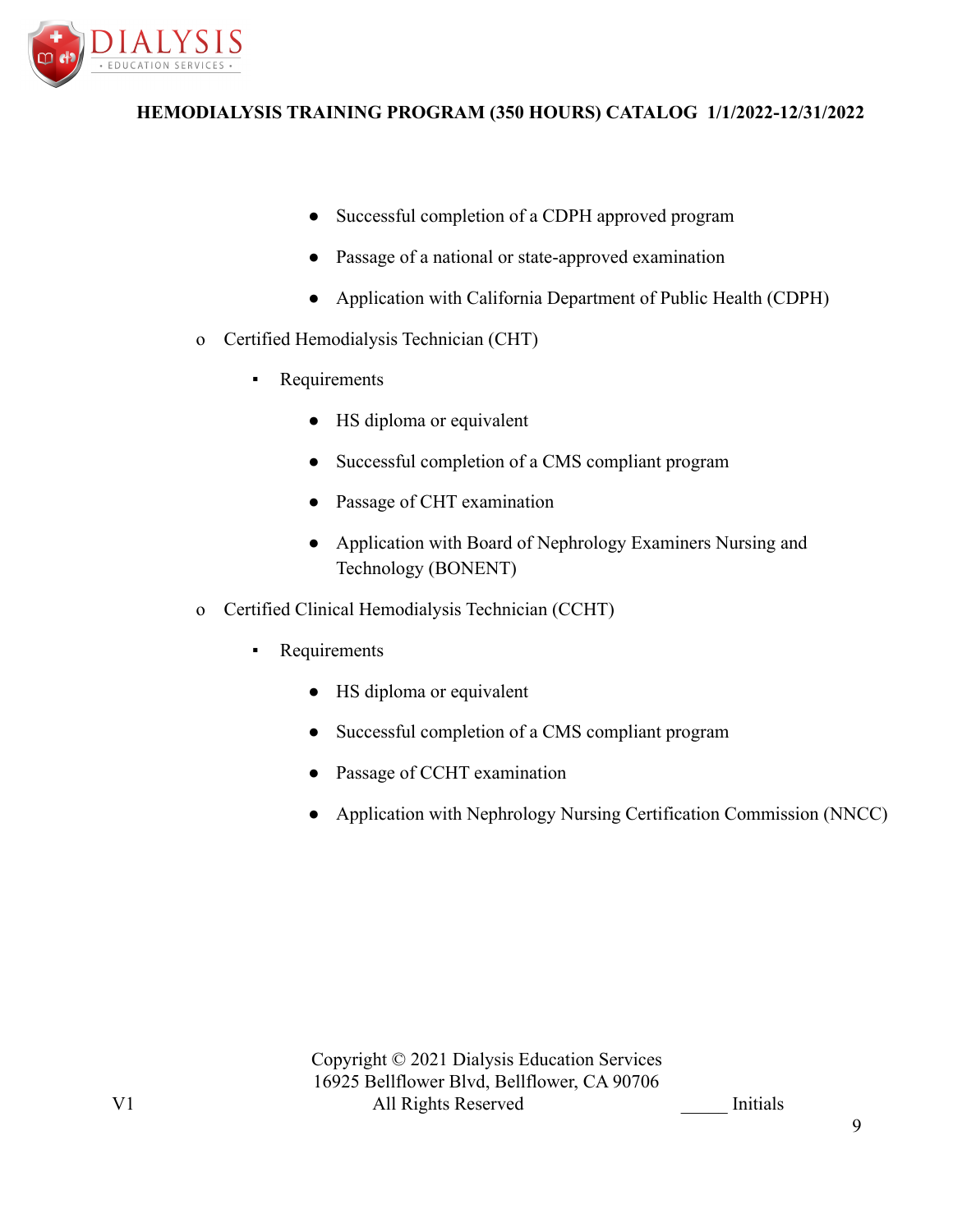

- Successful completion of a CDPH approved program
- Passage of a national or state-approved examination
- Application with California Department of Public Health (CDPH)
- o Certified Hemodialysis Technician (CHT)
	- Requirements
		- HS diploma or equivalent
		- Successful completion of a CMS compliant program
		- Passage of CHT examination
		- Application with Board of Nephrology Examiners Nursing and Technology (BONENT)
- o Certified Clinical Hemodialysis Technician (CCHT)
	- **Requirements** 
		- HS diploma or equivalent
		- Successful completion of a CMS compliant program
		- Passage of CCHT examination
		- Application with Nephrology Nursing Certification Commission (NNCC)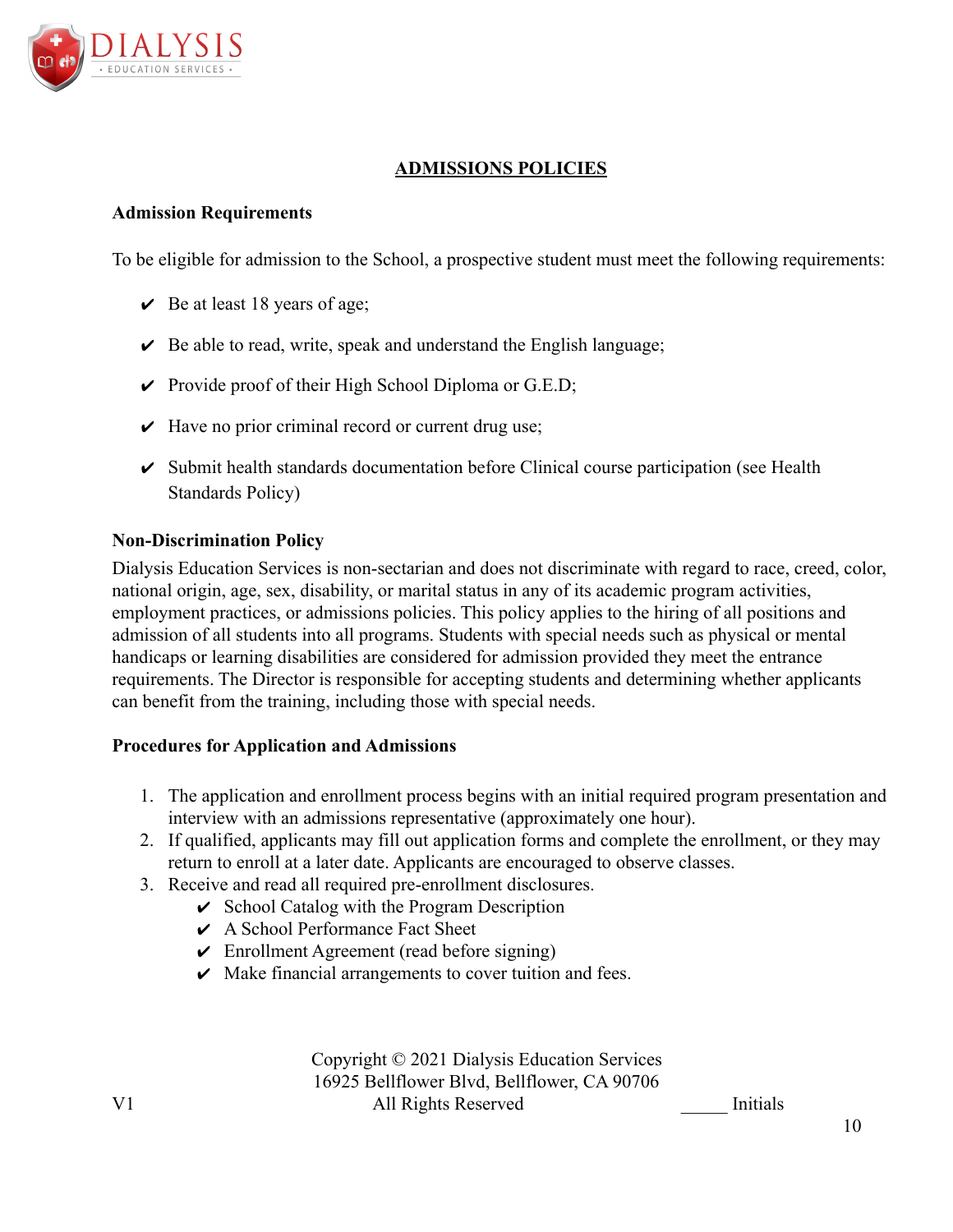

# **ADMISSIONS POLICIES**

### **Admission Requirements**

To be eligible for admission to the School, a prospective student must meet the following requirements:

- $\vee$  Be at least 18 years of age;
- $\vee$  Be able to read, write, speak and understand the English language;
- $\triangleright$  Provide proof of their High School Diploma or G.E.D;
- $\vee$  Have no prior criminal record or current drug use;
- $\triangleright$  Submit health standards documentation before Clinical course participation (see Health Standards Policy)

#### **Non-Discrimination Policy**

Dialysis Education Services is non-sectarian and does not discriminate with regard to race, creed, color, national origin, age, sex, disability, or marital status in any of its academic program activities, employment practices, or admissions policies. This policy applies to the hiring of all positions and admission of all students into all programs. Students with special needs such as physical or mental handicaps or learning disabilities are considered for admission provided they meet the entrance requirements. The Director is responsible for accepting students and determining whether applicants can benefit from the training, including those with special needs.

#### **Procedures for Application and Admissions**

- 1. The application and enrollment process begins with an initial required program presentation and interview with an admissions representative (approximately one hour).
- 2. If qualified, applicants may fill out application forms and complete the enrollment, or they may return to enroll at a later date. Applicants are encouraged to observe classes.
- 3. Receive and read all required pre-enrollment disclosures.
	- $\vee$  School Catalog with the Program Description
	- $\vee$  A School Performance Fact Sheet
	- $\vee$  Enrollment Agreement (read before signing)
	- $\vee$  Make financial arrangements to cover tuition and fees.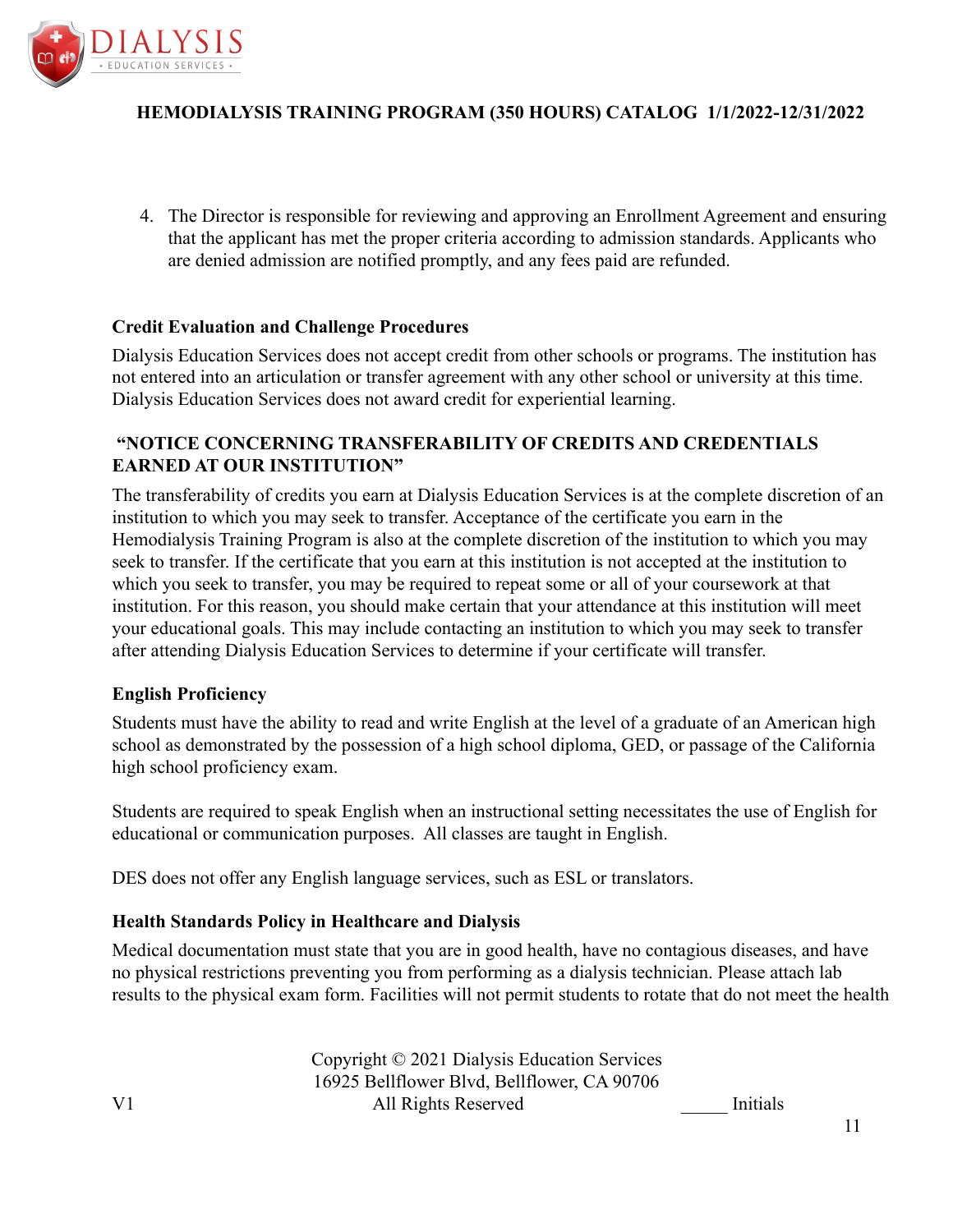

4. The Director is responsible for reviewing and approving an Enrollment Agreement and ensuring that the applicant has met the proper criteria according to admission standards. Applicants who are denied admission are notified promptly, and any fees paid are refunded.

### **Credit Evaluation and Challenge Procedures**

Dialysis Education Services does not accept credit from other schools or programs. The institution has not entered into an articulation or transfer agreement with any other school or university at this time. Dialysis Education Services does not award credit for experiential learning.

# **"NOTICE CONCERNING TRANSFERABILITY OF CREDITS AND CREDENTIALS EARNED AT OUR INSTITUTION"**

The transferability of credits you earn at Dialysis Education Services is at the complete discretion of an institution to which you may seek to transfer. Acceptance of the certificate you earn in the Hemodialysis Training Program is also at the complete discretion of the institution to which you may seek to transfer. If the certificate that you earn at this institution is not accepted at the institution to which you seek to transfer, you may be required to repeat some or all of your coursework at that institution. For this reason, you should make certain that your attendance at this institution will meet your educational goals. This may include contacting an institution to which you may seek to transfer after attending Dialysis Education Services to determine if your certificate will transfer.

#### **English Proficiency**

Students must have the ability to read and write English at the level of a graduate of an American high school as demonstrated by the possession of a high school diploma, GED, or passage of the California high school proficiency exam.

Students are required to speak English when an instructional setting necessitates the use of English for educational or communication purposes. All classes are taught in English.

DES does not offer any English language services, such as ESL or translators.

#### **Health Standards Policy in Healthcare and Dialysis**

Medical documentation must state that you are in good health, have no contagious diseases, and have no physical restrictions preventing you from performing as a dialysis technician. Please attach lab results to the physical exam form. Facilities will not permit students to rotate that do not meet the health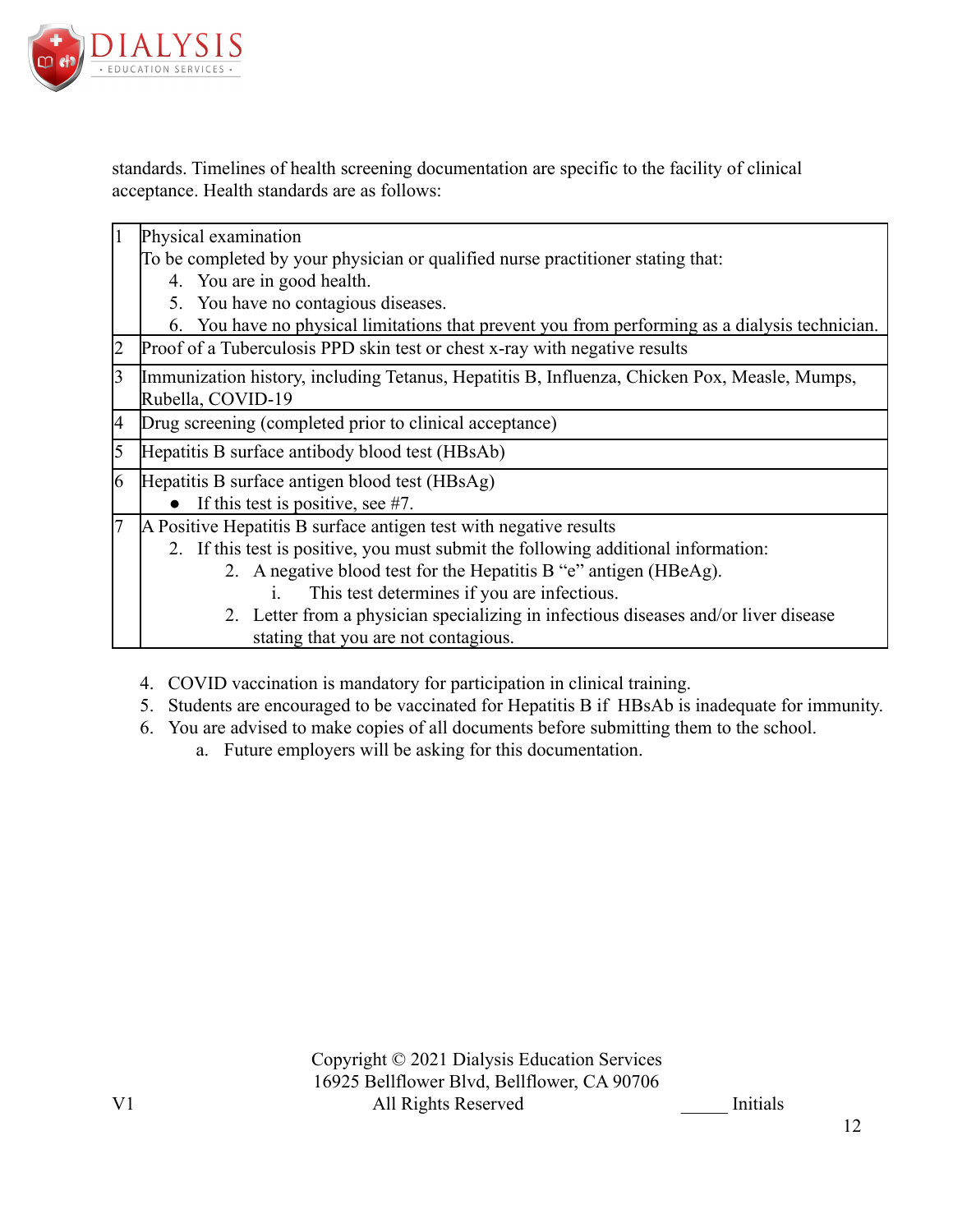

standards. Timelines of health screening documentation are specific to the facility of clinical acceptance. Health standards are as follows:

| $\vert$ 1      | Physical examination                                                                           |  |  |
|----------------|------------------------------------------------------------------------------------------------|--|--|
|                | To be completed by your physician or qualified nurse practitioner stating that:                |  |  |
|                | 4. You are in good health.                                                                     |  |  |
|                | 5. You have no contagious diseases.                                                            |  |  |
|                | 6. You have no physical limitations that prevent you from performing as a dialysis technician. |  |  |
| $\overline{2}$ | Proof of a Tuberculosis PPD skin test or chest x-ray with negative results                     |  |  |
| 3              | Immunization history, including Tetanus, Hepatitis B, Influenza, Chicken Pox, Measle, Mumps,   |  |  |
|                | Rubella, COVID-19                                                                              |  |  |
| 4              | Drug screening (completed prior to clinical acceptance)                                        |  |  |
| 5              | Hepatitis B surface antibody blood test (HBsAb)                                                |  |  |
| 6              | Hepatitis B surface antigen blood test (HBsAg)                                                 |  |  |
|                | If this test is positive, see $#7$ .                                                           |  |  |
| 17             | A Positive Hepatitis B surface antigen test with negative results                              |  |  |
|                | 2. If this test is positive, you must submit the following additional information:             |  |  |
|                | 2. A negative blood test for the Hepatitis B "e" antigen (HBeAg).                              |  |  |
|                | This test determines if you are infectious.<br>1.                                              |  |  |
|                | 2. Letter from a physician specializing in infectious diseases and/or liver disease            |  |  |
|                | stating that you are not contagious.                                                           |  |  |

- 4. COVID vaccination is mandatory for participation in clinical training.
- 5. Students are encouraged to be vaccinated for Hepatitis B if HBsAb is inadequate for immunity.
- 6. You are advised to make copies of all documents before submitting them to the school.
	- a. Future employers will be asking for this documentation.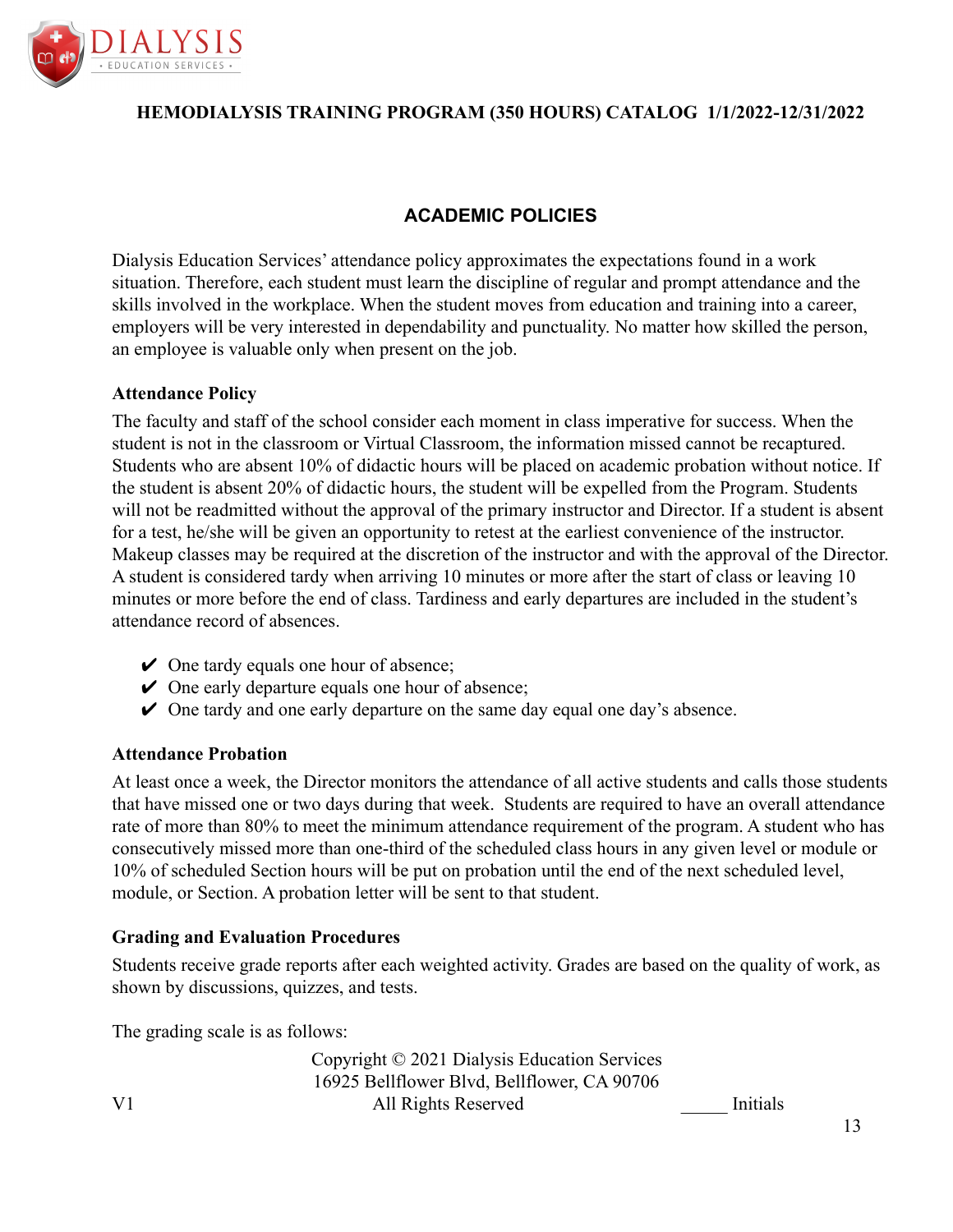

# **ACADEMIC POLICIES**

Dialysis Education Services' attendance policy approximates the expectations found in a work situation. Therefore, each student must learn the discipline of regular and prompt attendance and the skills involved in the workplace. When the student moves from education and training into a career, employers will be very interested in dependability and punctuality. No matter how skilled the person, an employee is valuable only when present on the job.

### **Attendance Policy**

The faculty and staff of the school consider each moment in class imperative for success. When the student is not in the classroom or Virtual Classroom, the information missed cannot be recaptured. Students who are absent 10% of didactic hours will be placed on academic probation without notice. If the student is absent 20% of didactic hours, the student will be expelled from the Program. Students will not be readmitted without the approval of the primary instructor and Director. If a student is absent for a test, he/she will be given an opportunity to retest at the earliest convenience of the instructor. Makeup classes may be required at the discretion of the instructor and with the approval of the Director. A student is considered tardy when arriving 10 minutes or more after the start of class or leaving 10 minutes or more before the end of class. Tardiness and early departures are included in the student's attendance record of absences.

- $\vee$  One tardy equals one hour of absence;
- $\vee$  One early departure equals one hour of absence;
- $\vee$  One tardy and one early departure on the same day equal one day's absence.

#### **Attendance Probation**

At least once a week, the Director monitors the attendance of all active students and calls those students that have missed one or two days during that week. Students are required to have an overall attendance rate of more than 80% to meet the minimum attendance requirement of the program. A student who has consecutively missed more than one-third of the scheduled class hours in any given level or module or 10% of scheduled Section hours will be put on probation until the end of the next scheduled level, module, or Section. A probation letter will be sent to that student.

# **Grading and Evaluation Procedures**

Students receive grade reports after each weighted activity. Grades are based on the quality of work, as shown by discussions, quizzes, and tests.

The grading scale is as follows: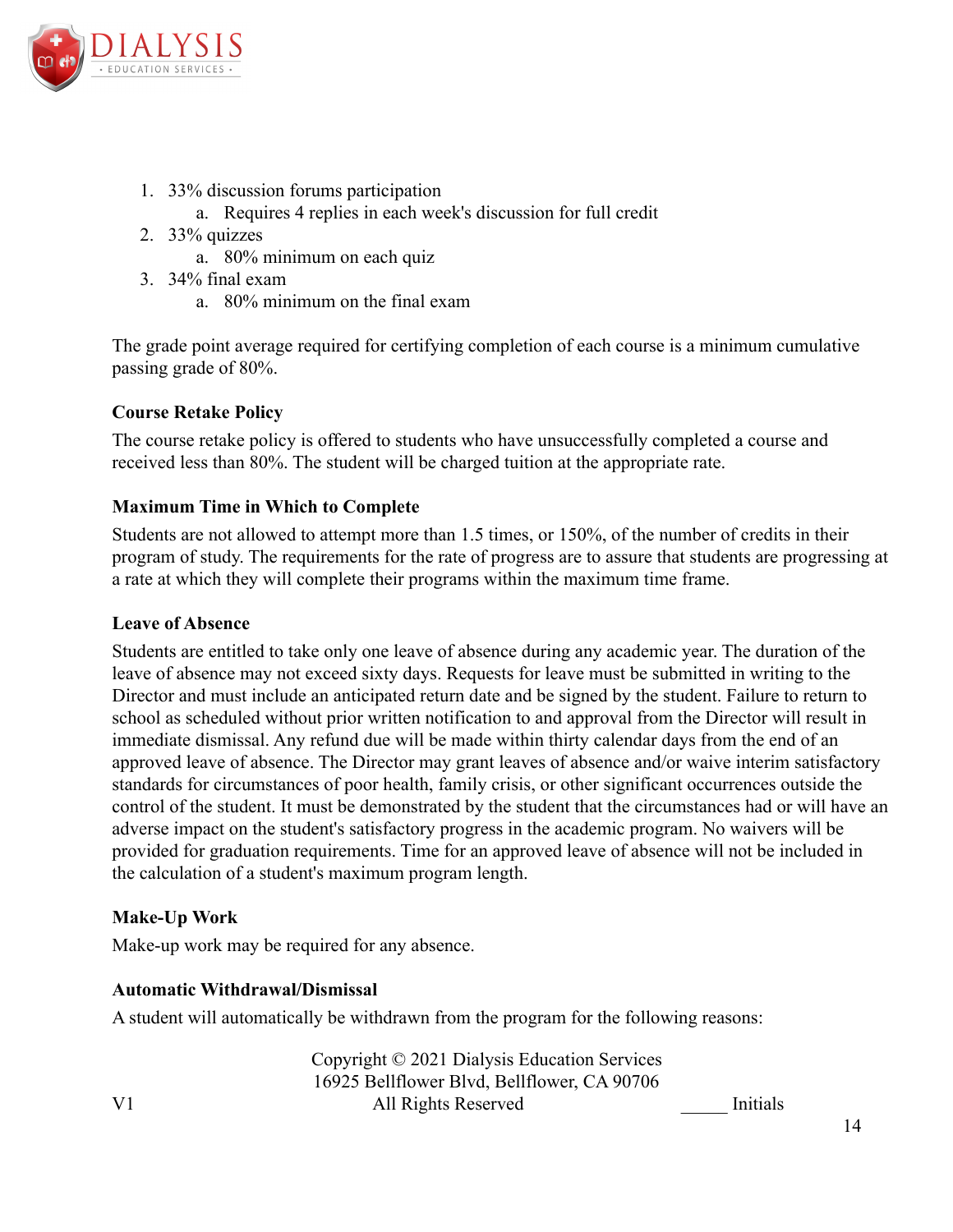

- 1. 33% discussion forums participation
	- a. Requires 4 replies in each week's discussion for full credit
- 2. 33% quizzes
	- a. 80% minimum on each quiz
- 3. 34% final exam
	- a. 80% minimum on the final exam

The grade point average required for certifying completion of each course is a minimum cumulative passing grade of 80%.

# **Course Retake Policy**

The course retake policy is offered to students who have unsuccessfully completed a course and received less than 80%. The student will be charged tuition at the appropriate rate.

# **Maximum Time in Which to Complete**

Students are not allowed to attempt more than 1.5 times, or 150%, of the number of credits in their program of study. The requirements for the rate of progress are to assure that students are progressing at a rate at which they will complete their programs within the maximum time frame.

### **Leave of Absence**

Students are entitled to take only one leave of absence during any academic year. The duration of the leave of absence may not exceed sixty days. Requests for leave must be submitted in writing to the Director and must include an anticipated return date and be signed by the student. Failure to return to school as scheduled without prior written notification to and approval from the Director will result in immediate dismissal. Any refund due will be made within thirty calendar days from the end of an approved leave of absence. The Director may grant leaves of absence and/or waive interim satisfactory standards for circumstances of poor health, family crisis, or other significant occurrences outside the control of the student. It must be demonstrated by the student that the circumstances had or will have an adverse impact on the student's satisfactory progress in the academic program. No waivers will be provided for graduation requirements. Time for an approved leave of absence will not be included in the calculation of a student's maximum program length.

# **Make-Up Work**

Make-up work may be required for any absence.

# **Automatic Withdrawal/Dismissal**

A student will automatically be withdrawn from the program for the following reasons: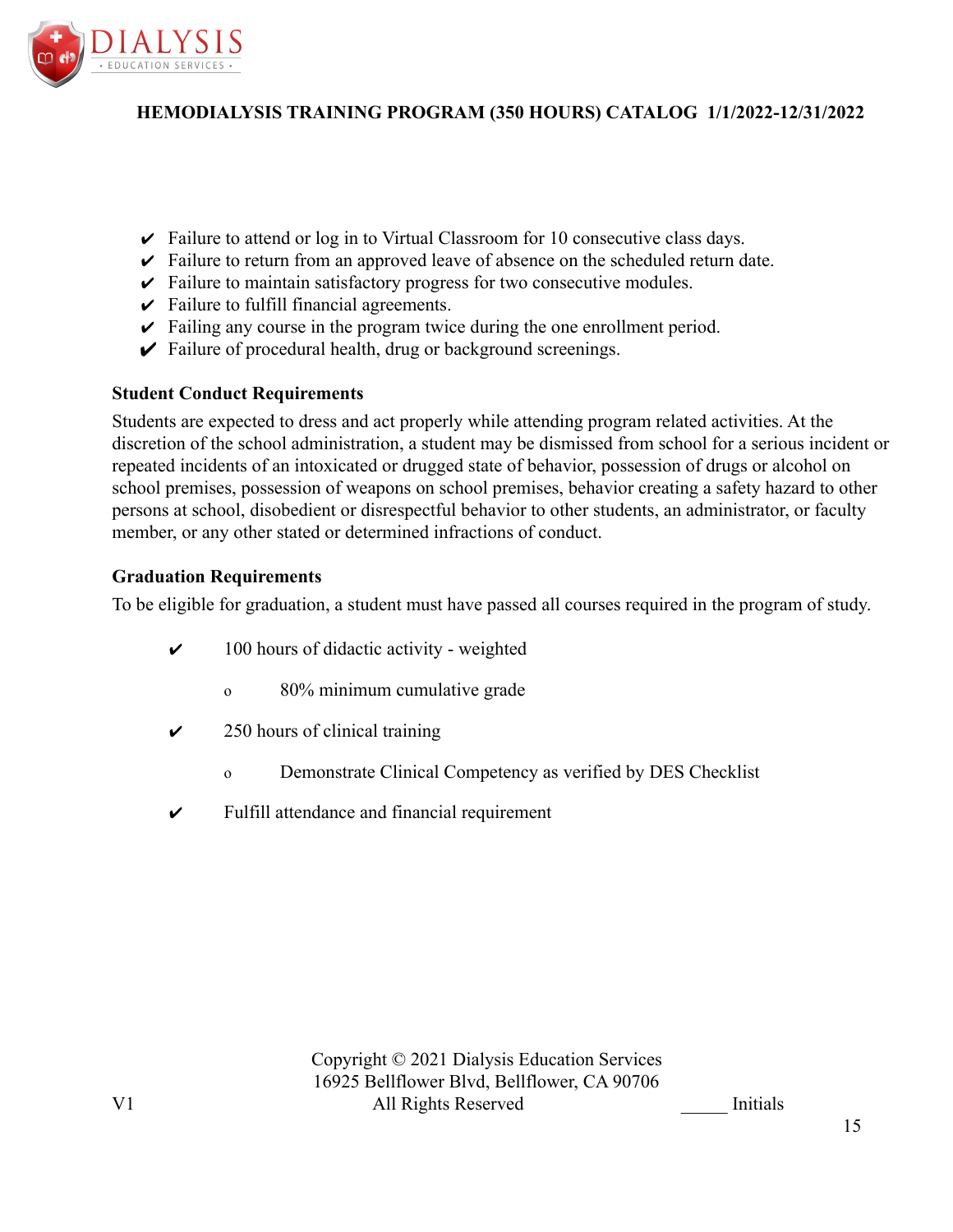

- $\triangleright$  Failure to attend or log in to Virtual Classroom for 10 consecutive class days.
- $\triangleright$  Failure to return from an approved leave of absence on the scheduled return date.
- $\triangleright$  Failure to maintain satisfactory progress for two consecutive modules.
- $\triangleright$  Failure to fulfill financial agreements.
- $\triangleright$  Failing any course in the program twice during the one enrollment period.
- $\triangleright$  Failure of procedural health, drug or background screenings.

### **Student Conduct Requirements**

Students are expected to dress and act properly while attending program related activities. At the discretion of the school administration, a student may be dismissed from school for a serious incident or repeated incidents of an intoxicated or drugged state of behavior, possession of drugs or alcohol on school premises, possession of weapons on school premises, behavior creating a safety hazard to other persons at school, disobedient or disrespectful behavior to other students, an administrator, or faculty member, or any other stated or determined infractions of conduct.

### **Graduation Requirements**

To be eligible for graduation, a student must have passed all courses required in the program of study.

- $\checkmark$  100 hours of didactic activity weighted
	- o 80% minimum cumulative grade
- $\checkmark$  250 hours of clinical training
	- o Demonstrate Clinical Competency as verified by DES Checklist
- $\checkmark$  Fulfill attendance and financial requirement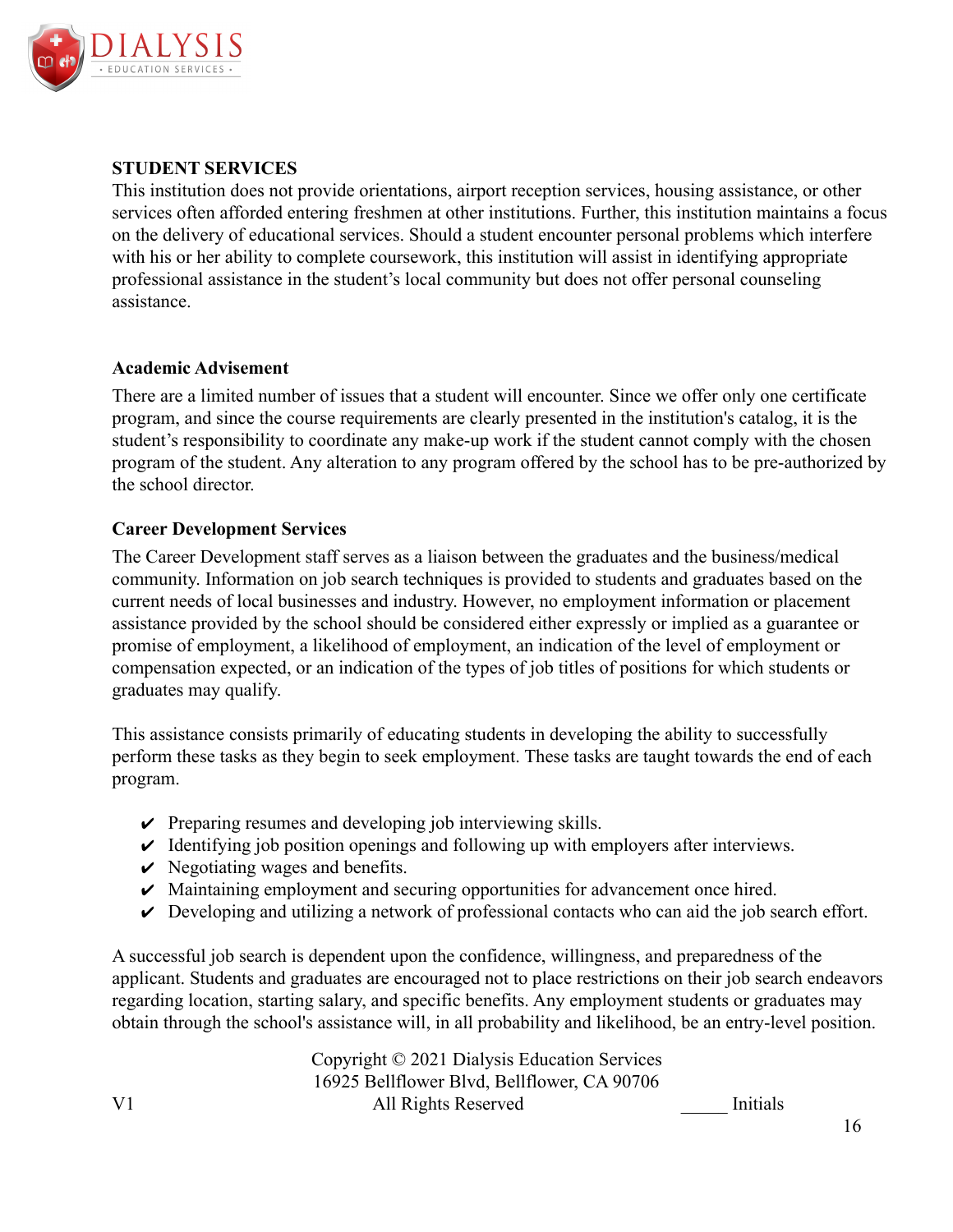

### **STUDENT SERVICES**

This institution does not provide orientations, airport reception services, housing assistance, or other services often afforded entering freshmen at other institutions. Further, this institution maintains a focus on the delivery of educational services. Should a student encounter personal problems which interfere with his or her ability to complete coursework, this institution will assist in identifying appropriate professional assistance in the student's local community but does not offer personal counseling assistance.

#### **Academic Advisement**

There are a limited number of issues that a student will encounter. Since we offer only one certificate program, and since the course requirements are clearly presented in the institution's catalog, it is the student's responsibility to coordinate any make-up work if the student cannot comply with the chosen program of the student. Any alteration to any program offered by the school has to be pre-authorized by the school director.

### **Career Development Services**

The Career Development staff serves as a liaison between the graduates and the business/medical community. Information on job search techniques is provided to students and graduates based on the current needs of local businesses and industry. However, no employment information or placement assistance provided by the school should be considered either expressly or implied as a guarantee or promise of employment, a likelihood of employment, an indication of the level of employment or compensation expected, or an indication of the types of job titles of positions for which students or graduates may qualify.

This assistance consists primarily of educating students in developing the ability to successfully perform these tasks as they begin to seek employment. These tasks are taught towards the end of each program.

- $\vee$  Preparing resumes and developing job interviewing skills.
- $\vee$  Identifying job position openings and following up with employers after interviews.
- $\vee$  Negotiating wages and benefits.
- $\vee$  Maintaining employment and securing opportunities for advancement once hired.
- $\vee$  Developing and utilizing a network of professional contacts who can aid the job search effort.

A successful job search is dependent upon the confidence, willingness, and preparedness of the applicant. Students and graduates are encouraged not to place restrictions on their job search endeavors regarding location, starting salary, and specific benefits. Any employment students or graduates may obtain through the school's assistance will, in all probability and likelihood, be an entry-level position.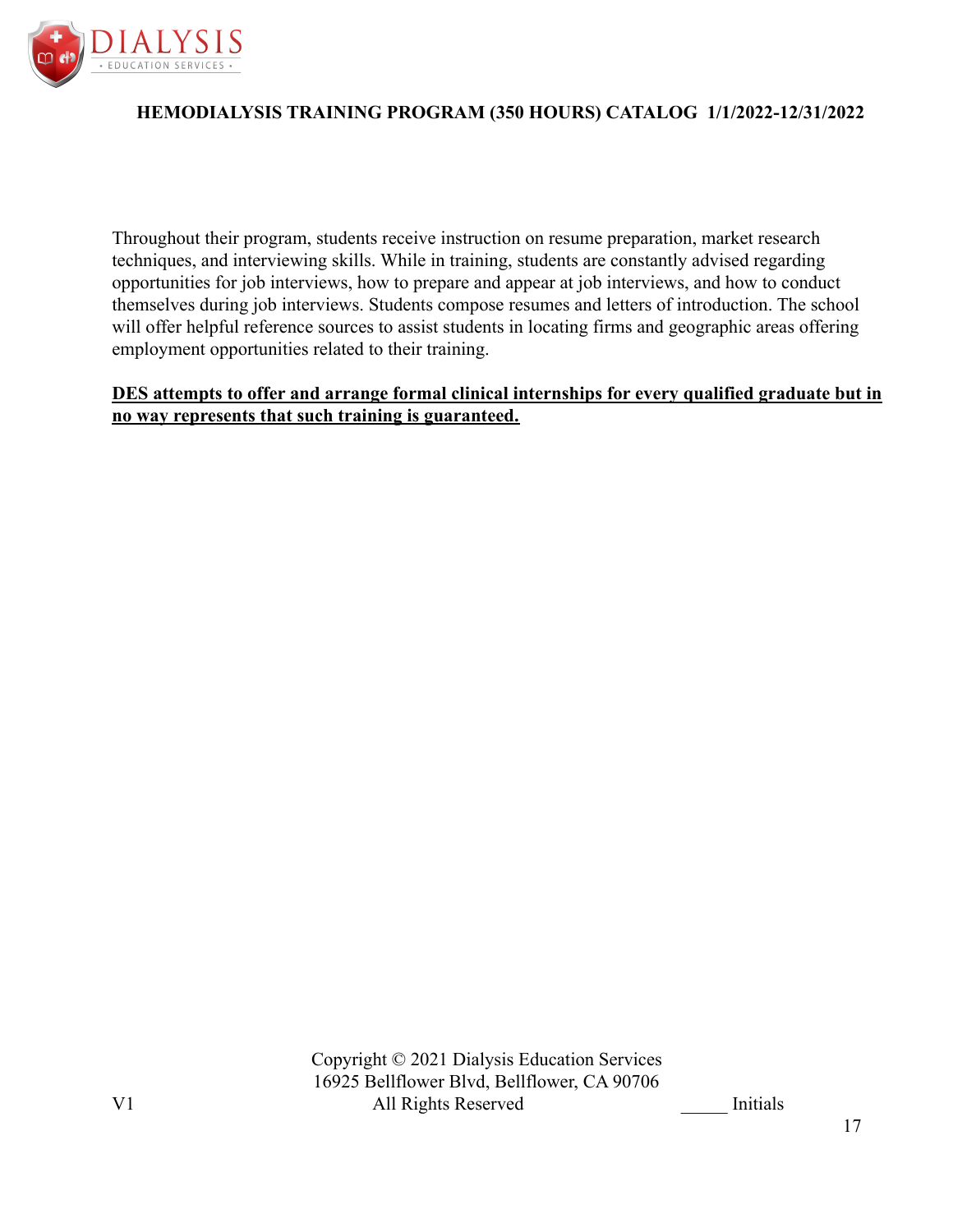

Throughout their program, students receive instruction on resume preparation, market research techniques, and interviewing skills. While in training, students are constantly advised regarding opportunities for job interviews, how to prepare and appear at job interviews, and how to conduct themselves during job interviews. Students compose resumes and letters of introduction. The school will offer helpful reference sources to assist students in locating firms and geographic areas offering employment opportunities related to their training.

**DES attempts to offer and arrange formal clinical internships for every qualified graduate but in no way represents that such training is guaranteed.**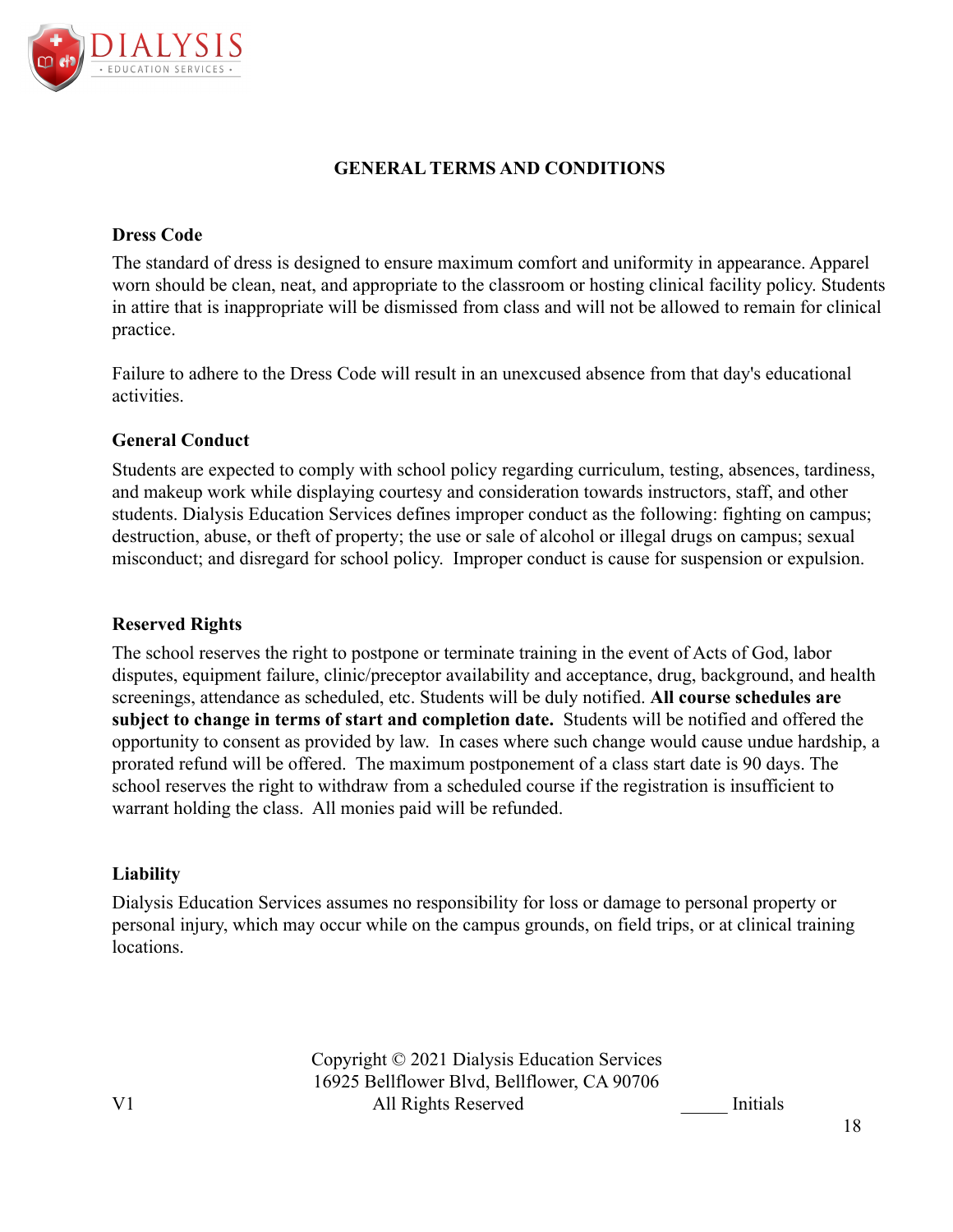

# **GENERAL TERMS AND CONDITIONS**

### **Dress Code**

The standard of dress is designed to ensure maximum comfort and uniformity in appearance. Apparel worn should be clean, neat, and appropriate to the classroom or hosting clinical facility policy. Students in attire that is inappropriate will be dismissed from class and will not be allowed to remain for clinical practice.

Failure to adhere to the Dress Code will result in an unexcused absence from that day's educational activities.

### **General Conduct**

Students are expected to comply with school policy regarding curriculum, testing, absences, tardiness, and makeup work while displaying courtesy and consideration towards instructors, staff, and other students. Dialysis Education Services defines improper conduct as the following: fighting on campus; destruction, abuse, or theft of property; the use or sale of alcohol or illegal drugs on campus; sexual misconduct; and disregard for school policy. Improper conduct is cause for suspension or expulsion.

### **Reserved Rights**

The school reserves the right to postpone or terminate training in the event of Acts of God, labor disputes, equipment failure, clinic/preceptor availability and acceptance, drug, background, and health screenings, attendance as scheduled, etc. Students will be duly notified. **All course schedules are subject to change in terms of start and completion date.** Students will be notified and offered the opportunity to consent as provided by law. In cases where such change would cause undue hardship, a prorated refund will be offered. The maximum postponement of a class start date is 90 days. The school reserves the right to withdraw from a scheduled course if the registration is insufficient to warrant holding the class. All monies paid will be refunded.

#### **Liability**

Dialysis Education Services assumes no responsibility for loss or damage to personal property or personal injury, which may occur while on the campus grounds, on field trips, or at clinical training locations.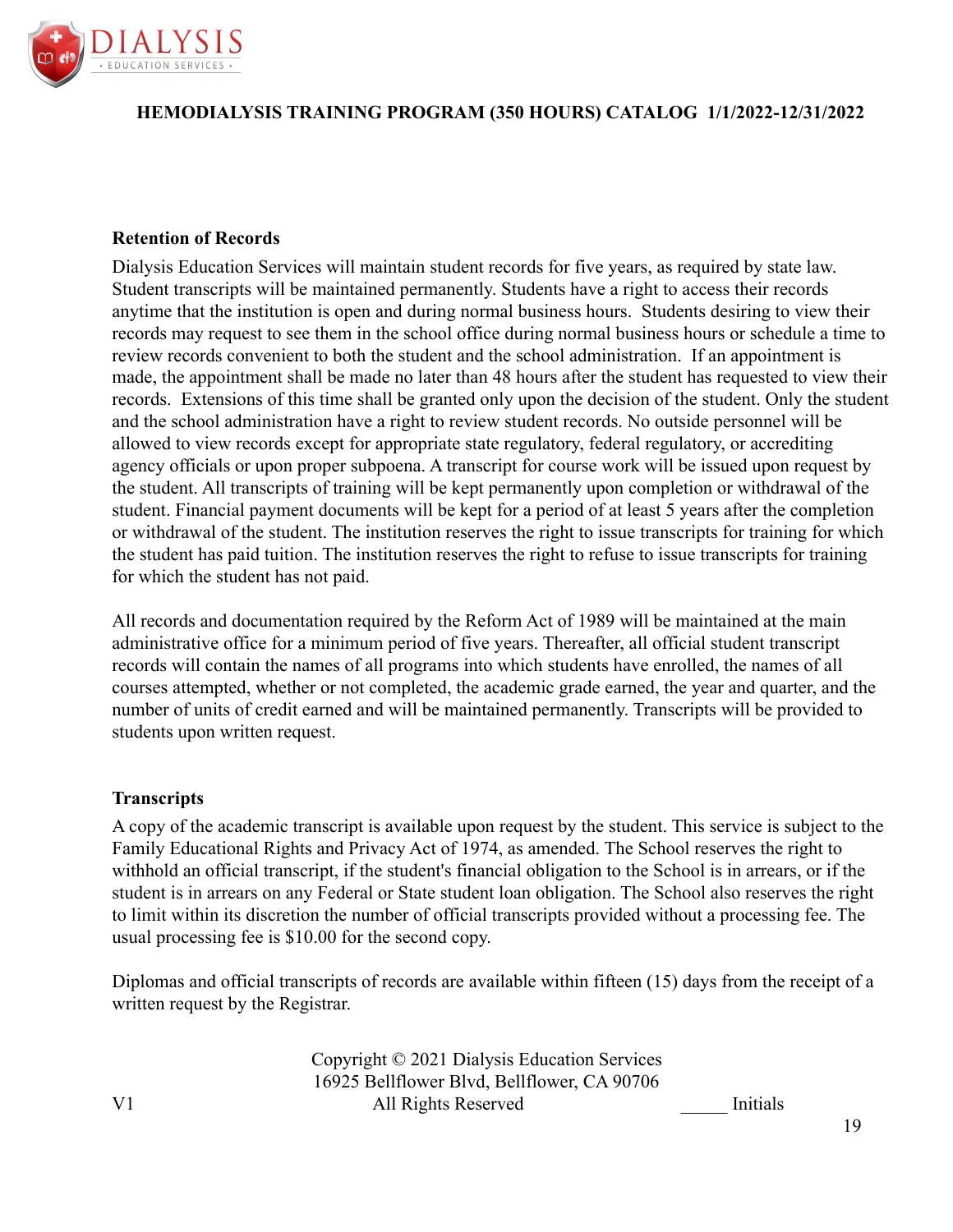

### **Retention of Records**

Dialysis Education Services will maintain student records for five years, as required by state law. Student transcripts will be maintained permanently. Students have a right to access their records anytime that the institution is open and during normal business hours. Students desiring to view their records may request to see them in the school office during normal business hours or schedule a time to review records convenient to both the student and the school administration. If an appointment is made, the appointment shall be made no later than 48 hours after the student has requested to view their records. Extensions of this time shall be granted only upon the decision of the student. Only the student and the school administration have a right to review student records. No outside personnel will be allowed to view records except for appropriate state regulatory, federal regulatory, or accrediting agency officials or upon proper subpoena. A transcript for course work will be issued upon request by the student. All transcripts of training will be kept permanently upon completion or withdrawal of the student. Financial payment documents will be kept for a period of at least 5 years after the completion or withdrawal of the student. The institution reserves the right to issue transcripts for training for which the student has paid tuition. The institution reserves the right to refuse to issue transcripts for training for which the student has not paid.

All records and documentation required by the Reform Act of 1989 will be maintained at the main administrative office for a minimum period of five years. Thereafter, all official student transcript records will contain the names of all programs into which students have enrolled, the names of all courses attempted, whether or not completed, the academic grade earned, the year and quarter, and the number of units of credit earned and will be maintained permanently. Transcripts will be provided to students upon written request.

#### **Transcripts**

A copy of the academic transcript is available upon request by the student. This service is subject to the Family Educational Rights and Privacy Act of 1974, as amended. The School reserves the right to withhold an official transcript, if the student's financial obligation to the School is in arrears, or if the student is in arrears on any Federal or State student loan obligation. The School also reserves the right to limit within its discretion the number of official transcripts provided without a processing fee. The usual processing fee is \$10.00 for the second copy.

Diplomas and official transcripts of records are available within fifteen (15) days from the receipt of a written request by the Registrar.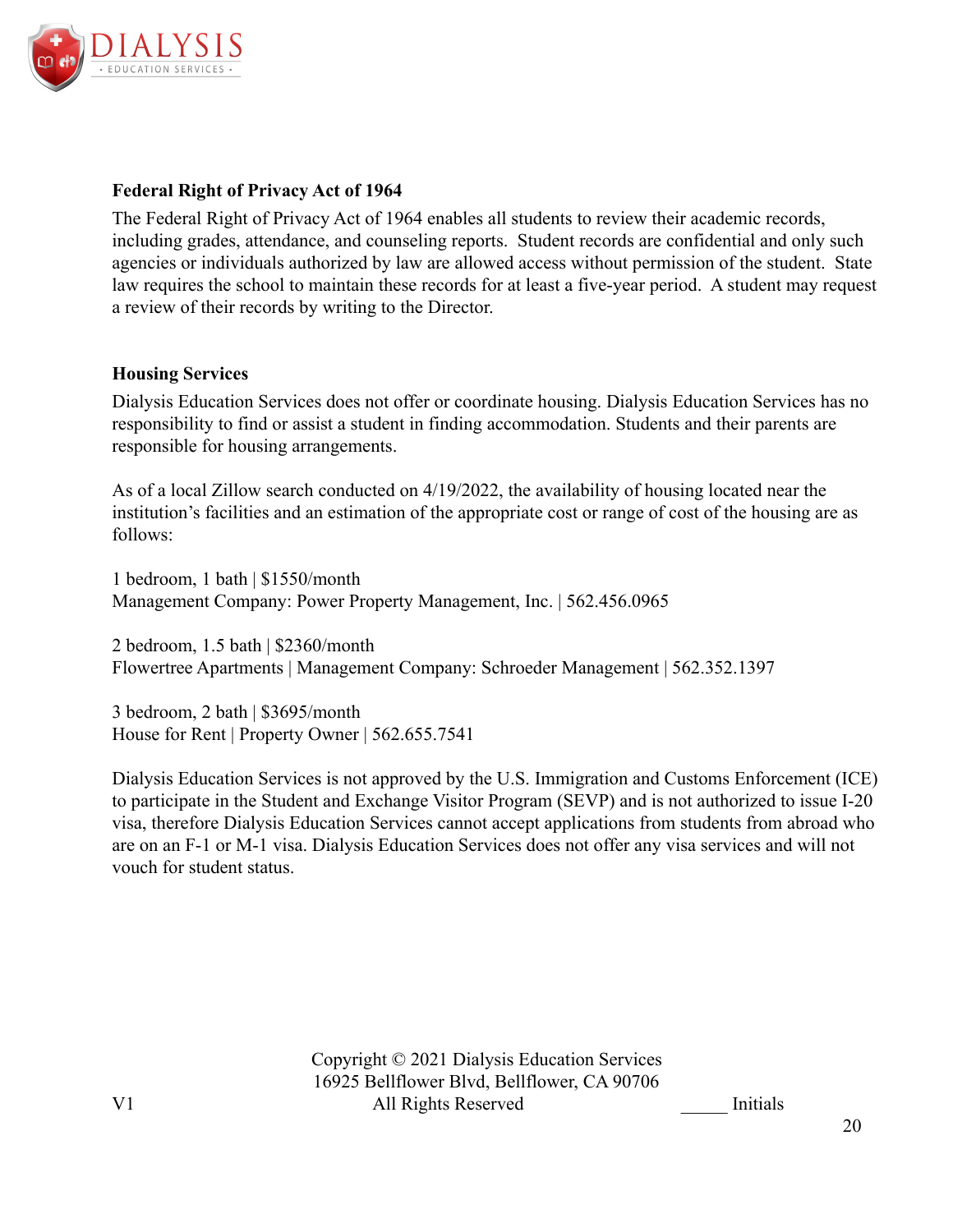

### **Federal Right of Privacy Act of 1964**

The Federal Right of Privacy Act of 1964 enables all students to review their academic records, including grades, attendance, and counseling reports. Student records are confidential and only such agencies or individuals authorized by law are allowed access without permission of the student. State law requires the school to maintain these records for at least a five-year period. A student may request a review of their records by writing to the Director.

### **Housing Services**

Dialysis Education Services does not offer or coordinate housing. Dialysis Education Services has no responsibility to find or assist a student in finding accommodation. Students and their parents are responsible for housing arrangements.

As of a local Zillow search conducted on 4/19/2022, the availability of housing located near the institution's facilities and an estimation of the appropriate cost or range of cost of the housing are as follows:

1 bedroom, 1 bath | \$1550/month Management Company: Power Property Management, Inc. | 562.456.0965

2 bedroom, 1.5 bath | \$2360/month Flowertree Apartments | Management Company: Schroeder Management | 562.352.1397

3 bedroom, 2 bath | \$3695/month House for Rent | Property Owner | 562.655.7541

Dialysis Education Services is not approved by the U.S. Immigration and Customs Enforcement (ICE) to participate in the Student and Exchange Visitor Program (SEVP) and is not authorized to issue I-20 visa, therefore Dialysis Education Services cannot accept applications from students from abroad who are on an F-1 or M-1 visa. Dialysis Education Services does not offer any visa services and will not vouch for student status.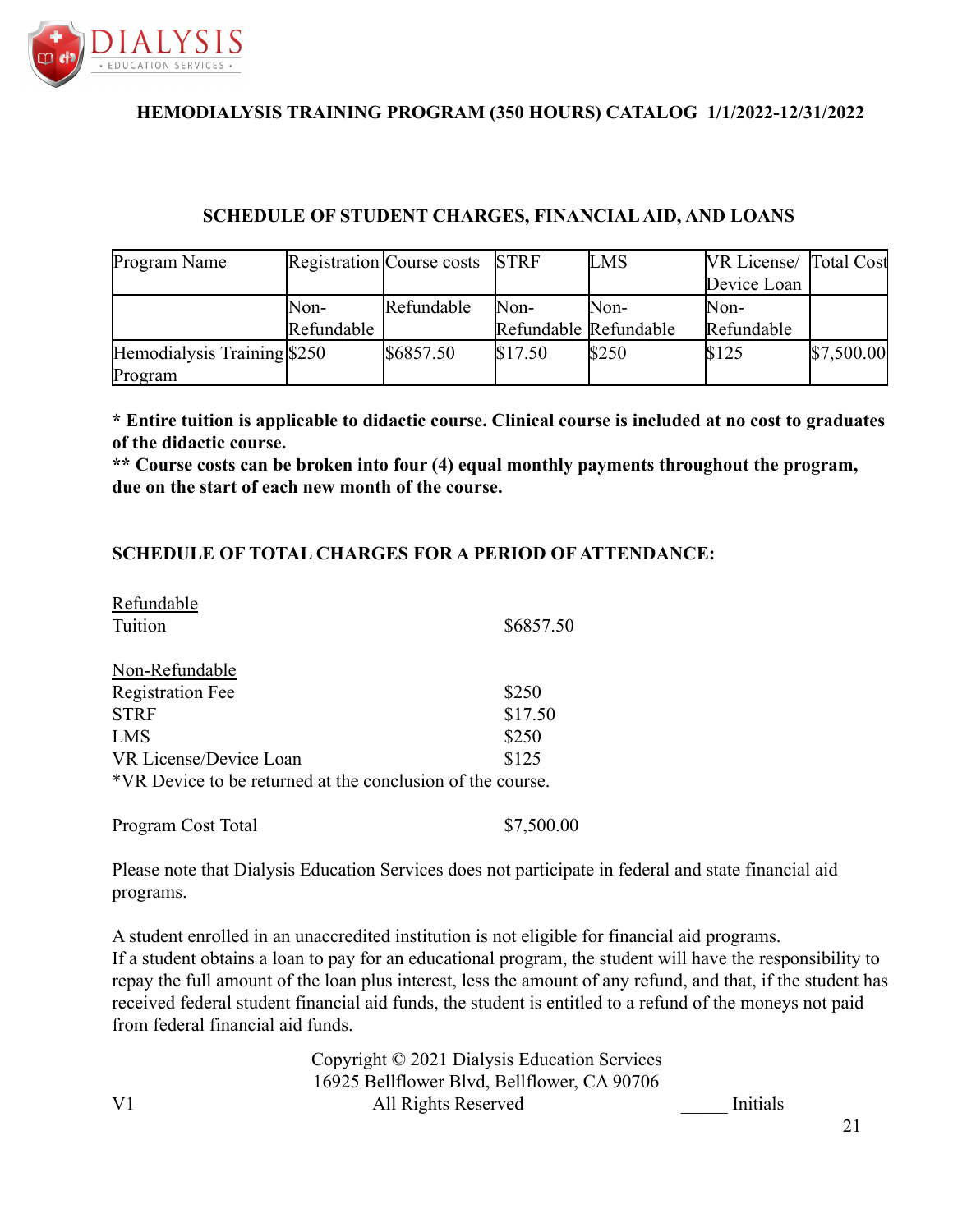

# **SCHEDULE OF STUDENT CHARGES, FINANCIAL AID, AND LOANS**

| Program Name                 |            | Registration Course costs | <b>STRF</b>           | <b>LMS</b> | <b>VR License</b> Total Cost |            |
|------------------------------|------------|---------------------------|-----------------------|------------|------------------------------|------------|
|                              |            |                           |                       |            | Device Loan                  |            |
|                              | Non-       | Refundable                | Non-                  | Non-       | Non-                         |            |
|                              | Refundable |                           | Refundable Refundable |            | Refundable                   |            |
| Hemodialysis Training $$250$ |            | \$6857.50                 | \$17.50               | \$250      | \$125                        | \$7,500.00 |
| Program                      |            |                           |                       |            |                              |            |

**\* Entire tuition is applicable to didactic course. Clinical course is included at no cost to graduates of the didactic course.**

**\*\* Course costs can be broken into four (4) equal monthly payments throughout the program, due on the start of each new month of the course.**

### **SCHEDULE OF TOTAL CHARGES FOR A PERIOD OF ATTENDANCE:**

| Refundable                                                 |           |
|------------------------------------------------------------|-----------|
| Tuition                                                    | \$6857.50 |
| Non-Refundable                                             |           |
| <b>Registration Fee</b>                                    | \$250     |
| <b>STRF</b>                                                | \$17.50   |
| <b>LMS</b>                                                 | \$250     |
| VR License/Device Loan                                     | \$125     |
| *VR Device to be returned at the conclusion of the course. |           |
|                                                            |           |

| Program Cost Total | \$7,500.00 |
|--------------------|------------|
|--------------------|------------|

Please note that Dialysis Education Services does not participate in federal and state financial aid programs.

A student enrolled in an unaccredited institution is not eligible for financial aid programs. If a student obtains a loan to pay for an educational program, the student will have the responsibility to repay the full amount of the loan plus interest, less the amount of any refund, and that, if the student has received federal student financial aid funds, the student is entitled to a refund of the moneys not paid from federal financial aid funds.

Copyright © 2021 Dialysis Education Services 16925 Bellflower Blvd, Bellflower, CA 90706 V1 All Rights Reserved Initials

21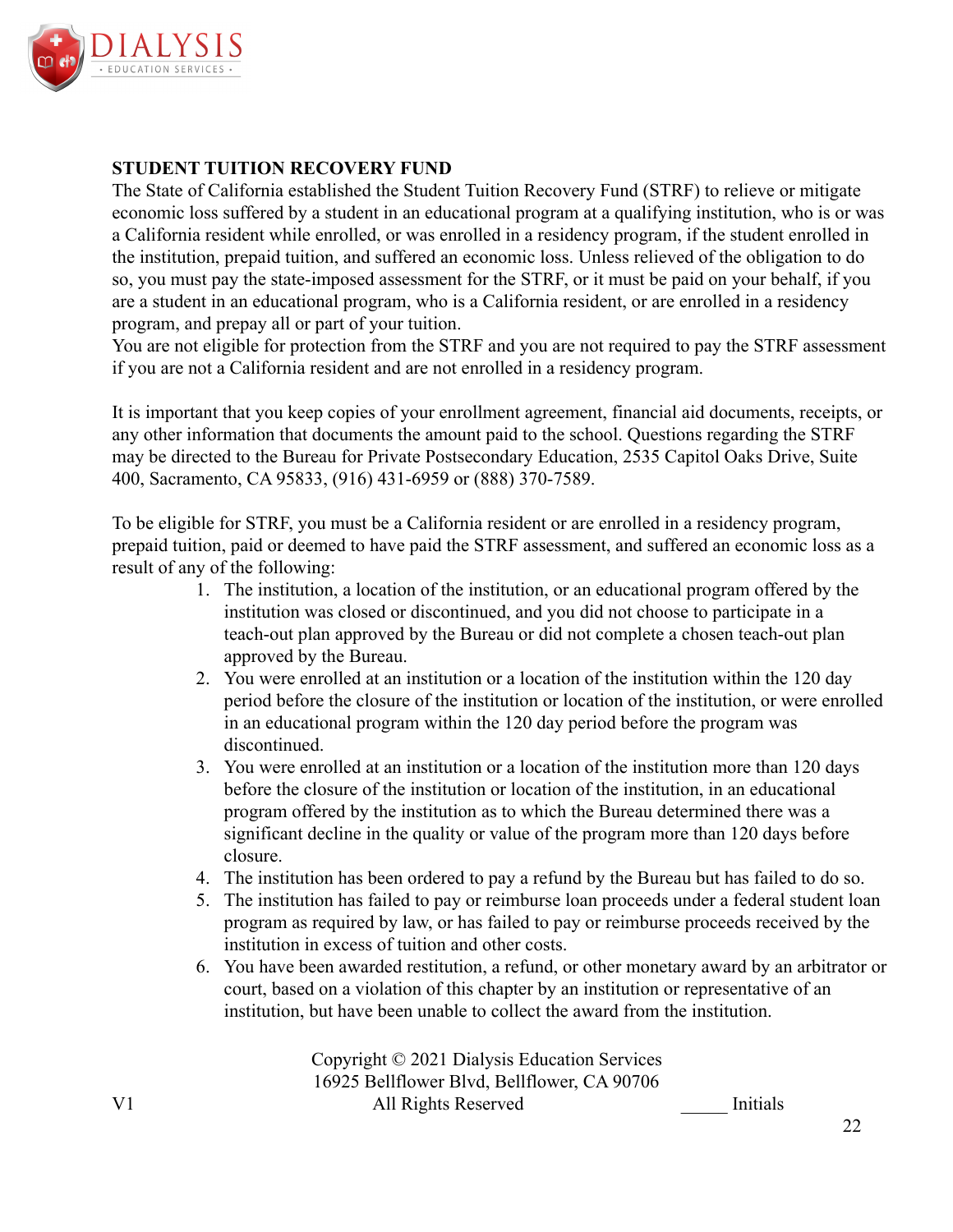

### **STUDENT TUITION RECOVERY FUND**

The State of California established the Student Tuition Recovery Fund (STRF) to relieve or mitigate economic loss suffered by a student in an educational program at a qualifying institution, who is or was a California resident while enrolled, or was enrolled in a residency program, if the student enrolled in the institution, prepaid tuition, and suffered an economic loss. Unless relieved of the obligation to do so, you must pay the state-imposed assessment for the STRF, or it must be paid on your behalf, if you are a student in an educational program, who is a California resident, or are enrolled in a residency program, and prepay all or part of your tuition.

You are not eligible for protection from the STRF and you are not required to pay the STRF assessment if you are not a California resident and are not enrolled in a residency program.

It is important that you keep copies of your enrollment agreement, financial aid documents, receipts, or any other information that documents the amount paid to the school. Questions regarding the STRF may be directed to the Bureau for Private Postsecondary Education, 2535 Capitol Oaks Drive, Suite 400, Sacramento, CA 95833, (916) 431-6959 or (888) 370-7589.

To be eligible for STRF, you must be a California resident or are enrolled in a residency program, prepaid tuition, paid or deemed to have paid the STRF assessment, and suffered an economic loss as a result of any of the following:

- 1. The institution, a location of the institution, or an educational program offered by the institution was closed or discontinued, and you did not choose to participate in a teach-out plan approved by the Bureau or did not complete a chosen teach-out plan approved by the Bureau.
- 2. You were enrolled at an institution or a location of the institution within the 120 day period before the closure of the institution or location of the institution, or were enrolled in an educational program within the 120 day period before the program was discontinued.
- 3. You were enrolled at an institution or a location of the institution more than 120 days before the closure of the institution or location of the institution, in an educational program offered by the institution as to which the Bureau determined there was a significant decline in the quality or value of the program more than 120 days before closure.
- 4. The institution has been ordered to pay a refund by the Bureau but has failed to do so.
- 5. The institution has failed to pay or reimburse loan proceeds under a federal student loan program as required by law, or has failed to pay or reimburse proceeds received by the institution in excess of tuition and other costs.
- 6. You have been awarded restitution, a refund, or other monetary award by an arbitrator or court, based on a violation of this chapter by an institution or representative of an institution, but have been unable to collect the award from the institution.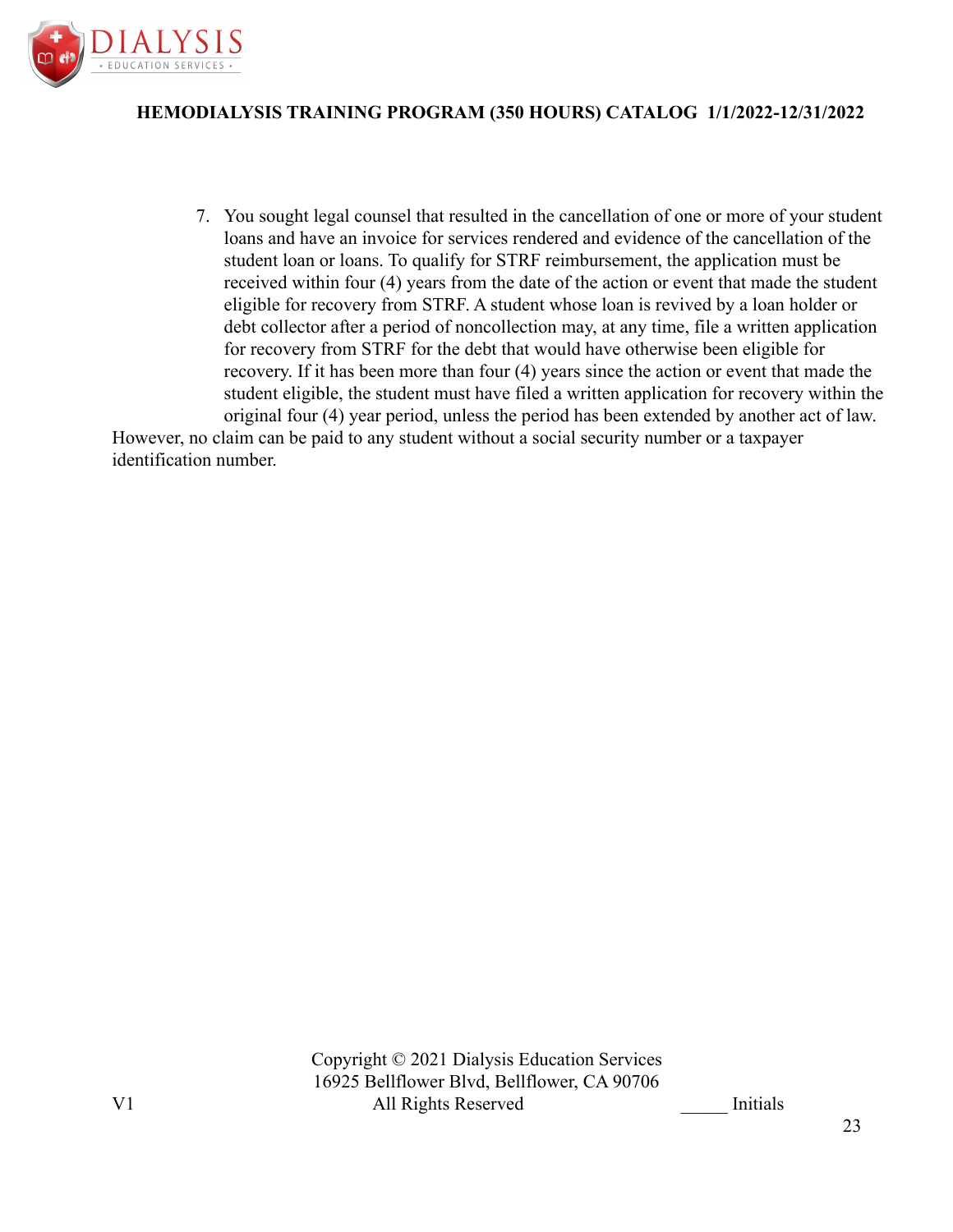

7. You sought legal counsel that resulted in the cancellation of one or more of your student loans and have an invoice for services rendered and evidence of the cancellation of the student loan or loans. To qualify for STRF reimbursement, the application must be received within four (4) years from the date of the action or event that made the student eligible for recovery from STRF. A student whose loan is revived by a loan holder or debt collector after a period of noncollection may, at any time, file a written application for recovery from STRF for the debt that would have otherwise been eligible for recovery. If it has been more than four (4) years since the action or event that made the student eligible, the student must have filed a written application for recovery within the original four (4) year period, unless the period has been extended by another act of law.

However, no claim can be paid to any student without a social security number or a taxpayer identification number.

23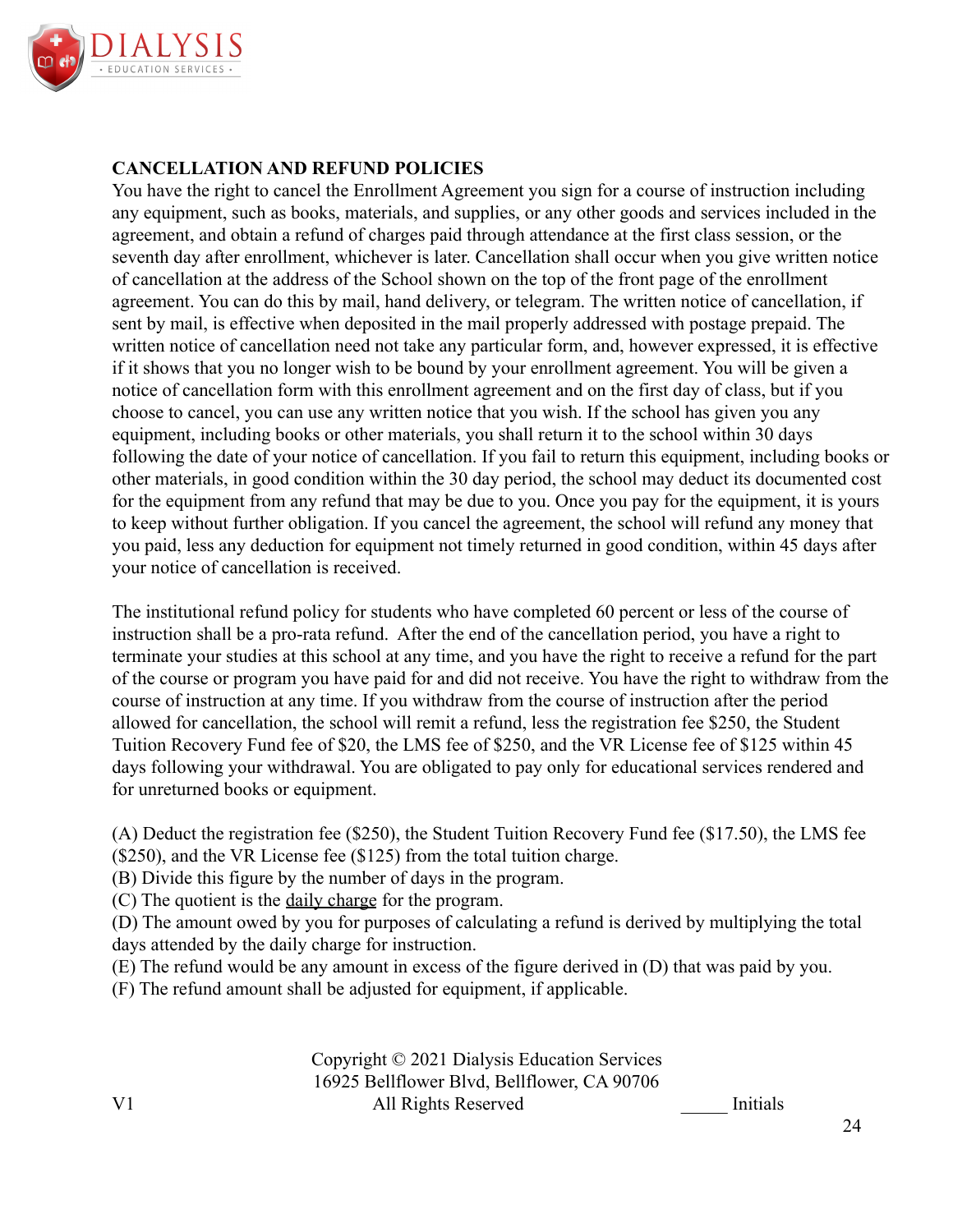

### **CANCELLATION AND REFUND POLICIES**

You have the right to cancel the Enrollment Agreement you sign for a course of instruction including any equipment, such as books, materials, and supplies, or any other goods and services included in the agreement, and obtain a refund of charges paid through attendance at the first class session, or the seventh day after enrollment, whichever is later. Cancellation shall occur when you give written notice of cancellation at the address of the School shown on the top of the front page of the enrollment agreement. You can do this by mail, hand delivery, or telegram. The written notice of cancellation, if sent by mail, is effective when deposited in the mail properly addressed with postage prepaid. The written notice of cancellation need not take any particular form, and, however expressed, it is effective if it shows that you no longer wish to be bound by your enrollment agreement. You will be given a notice of cancellation form with this enrollment agreement and on the first day of class, but if you choose to cancel, you can use any written notice that you wish. If the school has given you any equipment, including books or other materials, you shall return it to the school within 30 days following the date of your notice of cancellation. If you fail to return this equipment, including books or other materials, in good condition within the 30 day period, the school may deduct its documented cost for the equipment from any refund that may be due to you. Once you pay for the equipment, it is yours to keep without further obligation. If you cancel the agreement, the school will refund any money that you paid, less any deduction for equipment not timely returned in good condition, within 45 days after your notice of cancellation is received.

The institutional refund policy for students who have completed 60 percent or less of the course of instruction shall be a pro-rata refund. After the end of the cancellation period, you have a right to terminate your studies at this school at any time, and you have the right to receive a refund for the part of the course or program you have paid for and did not receive. You have the right to withdraw from the course of instruction at any time. If you withdraw from the course of instruction after the period allowed for cancellation, the school will remit a refund, less the registration fee \$250, the Student Tuition Recovery Fund fee of \$20, the LMS fee of \$250, and the VR License fee of \$125 within 45 days following your withdrawal. You are obligated to pay only for educational services rendered and for unreturned books or equipment.

(A) Deduct the registration fee (\$250), the Student Tuition Recovery Fund fee (\$17.50), the LMS fee (\$250), and the VR License fee (\$125) from the total tuition charge.

(B) Divide this figure by the number of days in the program.

(C) The quotient is the daily charge for the program.

(D) The amount owed by you for purposes of calculating a refund is derived by multiplying the total days attended by the daily charge for instruction.

(E) The refund would be any amount in excess of the figure derived in (D) that was paid by you.

(F) The refund amount shall be adjusted for equipment, if applicable.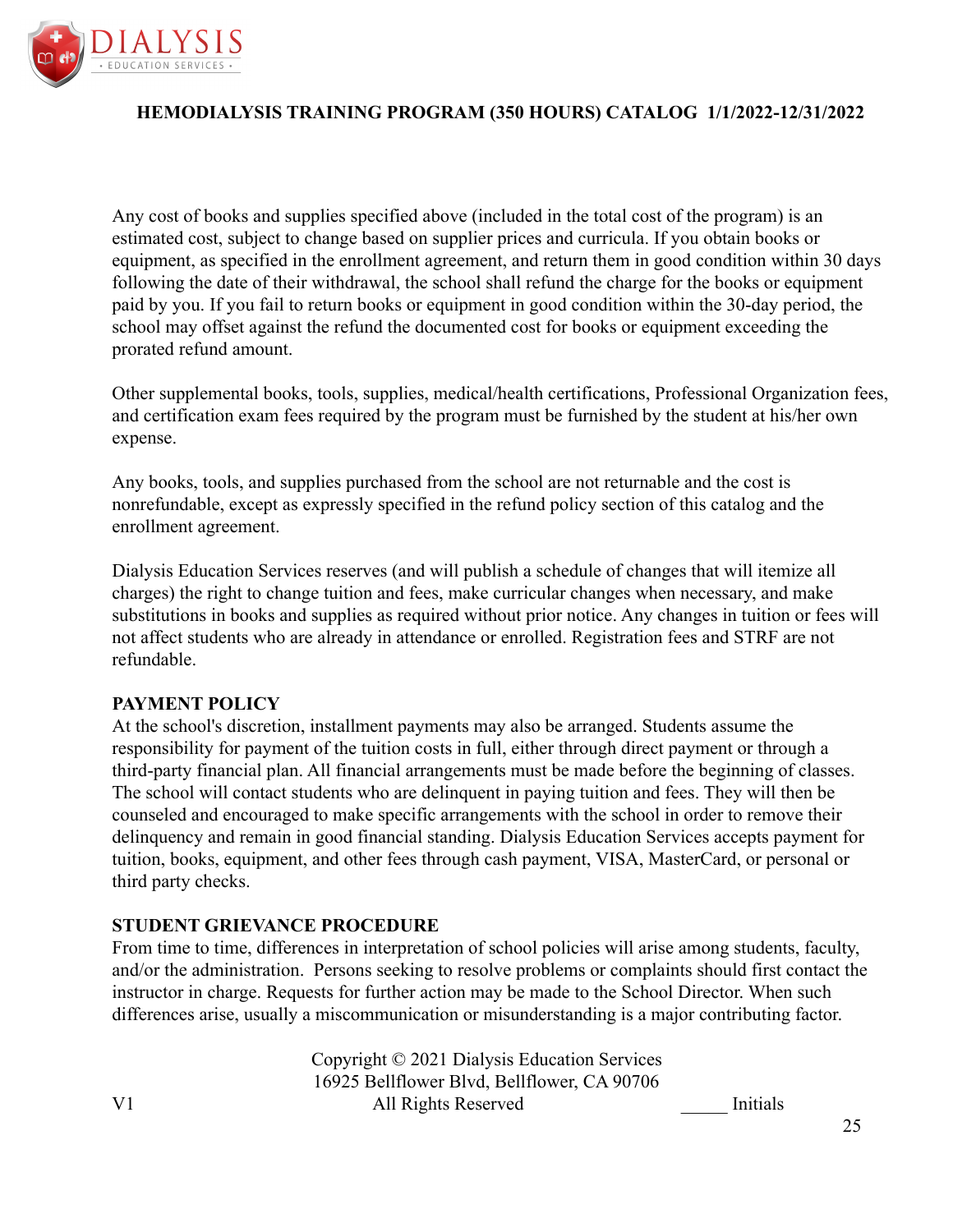

Any cost of books and supplies specified above (included in the total cost of the program) is an estimated cost, subject to change based on supplier prices and curricula. If you obtain books or equipment, as specified in the enrollment agreement, and return them in good condition within 30 days following the date of their withdrawal, the school shall refund the charge for the books or equipment paid by you. If you fail to return books or equipment in good condition within the 30-day period, the school may offset against the refund the documented cost for books or equipment exceeding the prorated refund amount.

Other supplemental books, tools, supplies, medical/health certifications, Professional Organization fees, and certification exam fees required by the program must be furnished by the student at his/her own expense.

Any books, tools, and supplies purchased from the school are not returnable and the cost is nonrefundable, except as expressly specified in the refund policy section of this catalog and the enrollment agreement.

Dialysis Education Services reserves (and will publish a schedule of changes that will itemize all charges) the right to change tuition and fees, make curricular changes when necessary, and make substitutions in books and supplies as required without prior notice. Any changes in tuition or fees will not affect students who are already in attendance or enrolled. Registration fees and STRF are not refundable.

#### **PAYMENT POLICY**

At the school's discretion, installment payments may also be arranged. Students assume the responsibility for payment of the tuition costs in full, either through direct payment or through a third-party financial plan. All financial arrangements must be made before the beginning of classes. The school will contact students who are delinquent in paying tuition and fees. They will then be counseled and encouraged to make specific arrangements with the school in order to remove their delinquency and remain in good financial standing. Dialysis Education Services accepts payment for tuition, books, equipment, and other fees through cash payment, VISA, MasterCard, or personal or third party checks.

#### **STUDENT GRIEVANCE PROCEDURE**

From time to time, differences in interpretation of school policies will arise among students, faculty, and/or the administration. Persons seeking to resolve problems or complaints should first contact the instructor in charge. Requests for further action may be made to the School Director. When such differences arise, usually a miscommunication or misunderstanding is a major contributing factor.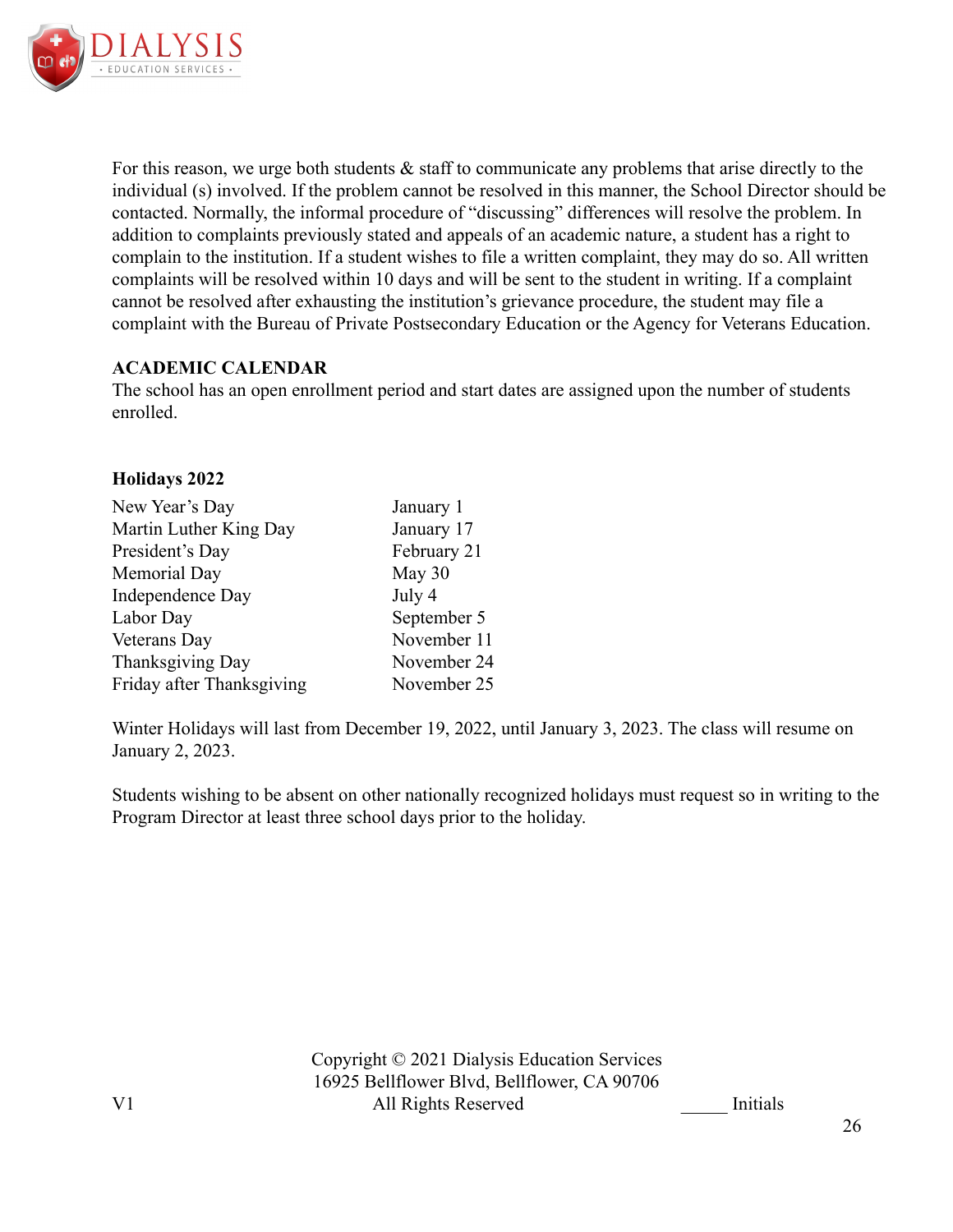

For this reason, we urge both students  $\&$  staff to communicate any problems that arise directly to the individual (s) involved. If the problem cannot be resolved in this manner, the School Director should be contacted. Normally, the informal procedure of "discussing" differences will resolve the problem. In addition to complaints previously stated and appeals of an academic nature, a student has a right to complain to the institution. If a student wishes to file a written complaint, they may do so. All written complaints will be resolved within 10 days and will be sent to the student in writing. If a complaint cannot be resolved after exhausting the institution's grievance procedure, the student may file a complaint with the Bureau of Private Postsecondary Education or the Agency for Veterans Education.

### **ACADEMIC CALENDAR**

The school has an open enrollment period and start dates are assigned upon the number of students enrolled.

#### **Holidays 2022**

| New Year's Day            | January 1   |
|---------------------------|-------------|
| Martin Luther King Day    | January 17  |
| President's Day           | February 21 |
| Memorial Day              | May 30      |
| Independence Day          | July 4      |
| Labor Day                 | September 5 |
| Veterans Day              | November 11 |
| Thanksgiving Day          | November 24 |
| Friday after Thanksgiving | November 25 |

Winter Holidays will last from December 19, 2022, until January 3, 2023. The class will resume on January 2, 2023.

Students wishing to be absent on other nationally recognized holidays must request so in writing to the Program Director at least three school days prior to the holiday.